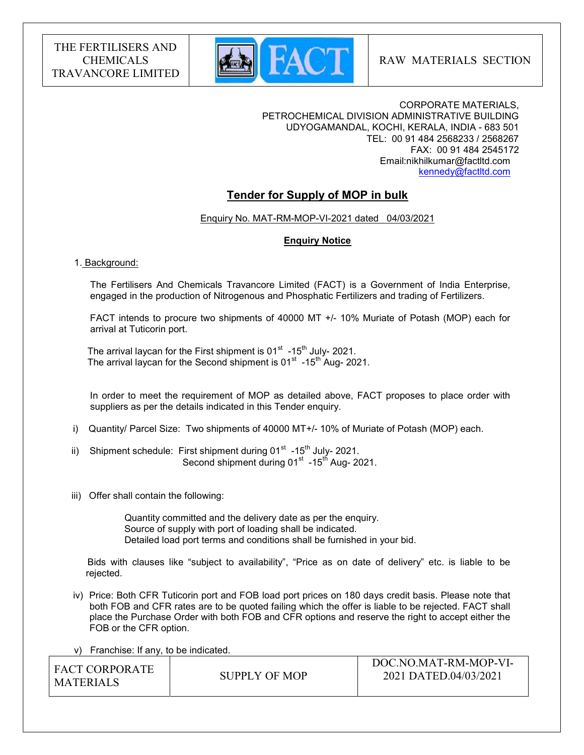

DOC.NO.MAT-RM-MOP-VI-

CORPORATE MATERIALS, PETROCHEMICAL DIVISION ADMINISTRATIVE BUILDING UDYOGAMANDAL, KOCHI, KERALA, INDIA - 683 501 TEL: 00 91 484 2568233 / 2568267 FAX: 00 91 484 2545172 Email:nikhilkumar@factltd.com kennedy@factltd.com

# Tender for Supply of MOP in bulk

### Enquiry No. MAT-RM-MOP-VI-2021 dated 04/03/2021

#### Enquiry Notice

#### 1. Background:

 The Fertilisers And Chemicals Travancore Limited (FACT) is a Government of India Enterprise, engaged in the production of Nitrogenous and Phosphatic Fertilizers and trading of Fertilizers.

 FACT intends to procure two shipments of 40000 MT +/- 10% Muriate of Potash (MOP) each for arrival at Tuticorin port.

The arrival laycan for the First shipment is  $01<sup>st</sup>$  -15<sup>th</sup> July- 2021. The arrival laycan for the Second shipment is  $01<sup>st</sup>$  -15<sup>th</sup> Aug- 2021.

 In order to meet the requirement of MOP as detailed above, FACT proposes to place order with suppliers as per the details indicated in this Tender enquiry.

- i) Quantity/ Parcel Size: Two shipments of 40000 MT+/- 10% of Muriate of Potash (MOP) each.
- ii) Shipment schedule: First shipment during  $01<sup>st</sup>$  -15<sup>th</sup> July- 2021. Second shipment during 01<sup>st</sup> -15<sup>th</sup> Aug- 2021.
- iii) Offer shall contain the following:

 Quantity committed and the delivery date as per the enquiry. Source of supply with port of loading shall be indicated. Detailed load port terms and conditions shall be furnished in your bid.

 Bids with clauses like "subject to availability", "Price as on date of delivery" etc. is liable to be rejected.

 iv) Price: Both CFR Tuticorin port and FOB load port prices on 180 days credit basis. Please note that both FOB and CFR rates are to be quoted failing which the offer is liable to be rejected. FACT shall place the Purchase Order with both FOB and CFR options and reserve the right to accept either the FOB or the CFR option.

v) Franchise: If any, to be indicated.

| I FACT CORPORATE |               | DOC.NO.MA I -KM-MOP-VI- |  |
|------------------|---------------|-------------------------|--|
|                  | SUPPLY OF MOP | 2021 DATED.04/03/2021   |  |
| <b>MATERIALS</b> |               |                         |  |
|                  |               |                         |  |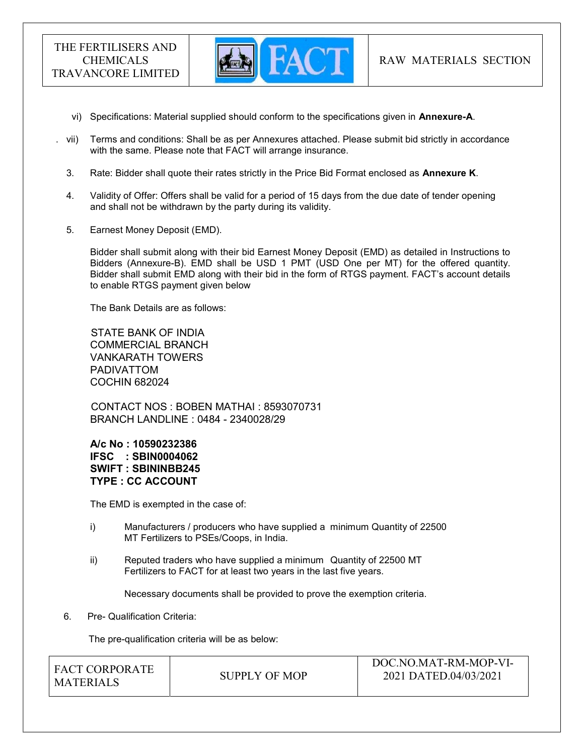

- vi) Specifications: Material supplied should conform to the specifications given in Annexure-A.
- vii) Terms and conditions: Shall be as per Annexures attached. Please submit bid strictly in accordance with the same. Please note that FACT will arrange insurance.
- 3. Rate: Bidder shall quote their rates strictly in the Price Bid Format enclosed as Annexure K.
- 4. Validity of Offer: Offers shall be valid for a period of 15 days from the due date of tender opening and shall not be withdrawn by the party during its validity.
- 5. Earnest Money Deposit (EMD).

Bidder shall submit along with their bid Earnest Money Deposit (EMD) as detailed in Instructions to Bidders (Annexure-B). EMD shall be USD 1 PMT (USD One per MT) for the offered quantity. Bidder shall submit EMD along with their bid in the form of RTGS payment. FACT's account details to enable RTGS payment given below

The Bank Details are as follows:

 STATE BANK OF INDIA COMMERCIAL BRANCH VANKARATH TOWERS PADIVATTOM COCHIN 682024

 CONTACT NOS : BOBEN MATHAI : 8593070731 BRANCH LANDLINE : 0484 - 2340028/29

A/c No : 10590232386 IFSC : SBIN0004062 SWIFT : SBININBB245 TYPE : CC ACCOUNT

The EMD is exempted in the case of:

- i) Manufacturers / producers who have supplied a minimum Quantity of 22500 MT Fertilizers to PSEs/Coops, in India.
- ii) Reputed traders who have supplied a minimum Quantity of 22500 MT Fertilizers to FACT for at least two years in the last five years.

Necessary documents shall be provided to prove the exemption criteria.

6. Pre- Qualification Criteria:

The pre-qualification criteria will be as below:

| <b>FACT CORPORATE</b> | SUPPLY OF MOP | DOC.NO.MAT-RM-MOP-VI-<br>2021 DATED.04/03/2021 |  |
|-----------------------|---------------|------------------------------------------------|--|
| MATERIALS             |               |                                                |  |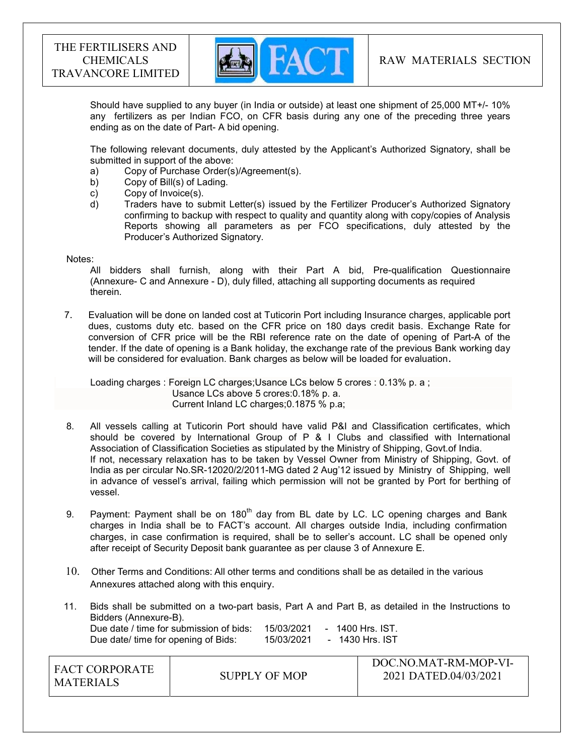

Should have supplied to any buyer (in India or outside) at least one shipment of 25,000 MT+/- 10% any fertilizers as per Indian FCO, on CFR basis during any one of the preceding three years ending as on the date of Part- A bid opening.

The following relevant documents, duly attested by the Applicant's Authorized Signatory, shall be submitted in support of the above:

- a) Copy of Purchase Order(s)/Agreement(s).
- b) Copy of Bill(s) of Lading.
- c) Copy of Invoice(s).
- d) Traders have to submit Letter(s) issued by the Fertilizer Producer's Authorized Signatory confirming to backup with respect to quality and quantity along with copy/copies of Analysis Reports showing all parameters as per FCO specifications, duly attested by the Producer's Authorized Signatory.

#### Notes:

 All bidders shall furnish, along with their Part A bid, Pre-qualification Questionnaire (Annexure- C and Annexure - D), duly filled, attaching all supporting documents as required therein.

7. Evaluation will be done on landed cost at Tuticorin Port including Insurance charges, applicable port dues, customs duty etc. based on the CFR price on 180 days credit basis. Exchange Rate for conversion of CFR price will be the RBI reference rate on the date of opening of Part-A of the tender. If the date of opening is a Bank holiday, the exchange rate of the previous Bank working day will be considered for evaluation. Bank charges as below will be loaded for evaluation.

 Loading charges : Foreign LC charges;Usance LCs below 5 crores : 0.13% p. a ; Usance LCs above 5 crores:0.18% p. a. Current Inland LC charges;0.1875 % p.a;

- 8. All vessels calling at Tuticorin Port should have valid P&I and Classification certificates, which should be covered by International Group of P & I Clubs and classified with International Association of Classification Societies as stipulated by the Ministry of Shipping, Govt.of India. If not, necessary relaxation has to be taken by Vessel Owner from Ministry of Shipping, Govt. of India as per circular No.SR-12020/2/2011-MG dated 2 Aug'12 issued by Ministry of Shipping, well in advance of vessel's arrival, failing which permission will not be granted by Port for berthing of vessel.
- 9. Payment: Payment shall be on 180<sup>th</sup> day from BL date by LC. LC opening charges and Bank charges in India shall be to FACT's account. All charges outside India, including confirmation charges, in case confirmation is required, shall be to seller's account. LC shall be opened only after receipt of Security Deposit bank guarantee as per clause 3 of Annexure E.
- 10. Other Terms and Conditions: All other terms and conditions shall be as detailed in the various Annexures attached along with this enquiry.
- 11. Bids shall be submitted on a two-part basis, Part A and Part B, as detailed in the Instructions to Bidders (Annexure-B). Due date / time for submission of bids: 15/03/2021 - 1400 Hrs. IST. Due date/ time for opening of Bids: 15/03/2021 - 1430 Hrs. IST

| I FACT CORPORATE<br>SUPPLY OF MOP<br><b>MATERIALS</b> | DOC.NO.MAT-RM-MOP-VI-<br>2021 DATED.04/03/2021 |
|-------------------------------------------------------|------------------------------------------------|
|-------------------------------------------------------|------------------------------------------------|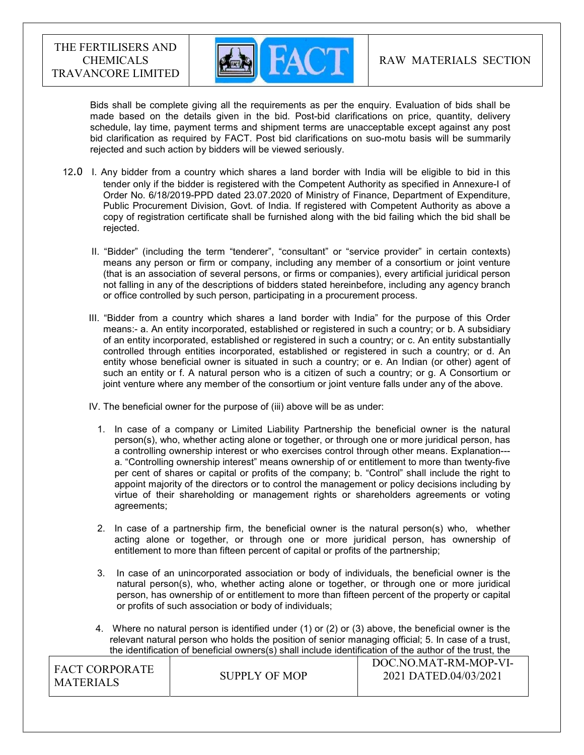

 Bids shall be complete giving all the requirements as per the enquiry. Evaluation of bids shall be made based on the details given in the bid. Post-bid clarifications on price, quantity, delivery schedule, lay time, payment terms and shipment terms are unacceptable except against any post bid clarification as required by FACT. Post bid clarifications on suo-motu basis will be summarily rejected and such action by bidders will be viewed seriously.

- 12.0 I. Any bidder from a country which shares a land border with India will be eligible to bid in this tender only if the bidder is registered with the Competent Authority as specified in Annexure-I of Order No. 6/18/2019-PPD dated 23.07.2020 of Ministry of Finance, Department of Expenditure, Public Procurement Division, Govt. of India. If registered with Competent Authority as above a copy of registration certificate shall be furnished along with the bid failing which the bid shall be rejected.
	- II. "Bidder" (including the term "tenderer", "consultant" or "service provider" in certain contexts) means any person or firm or company, including any member of a consortium or joint venture (that is an association of several persons, or firms or companies), every artificial juridical person not falling in any of the descriptions of bidders stated hereinbefore, including any agency branch or office controlled by such person, participating in a procurement process.
	- III. "Bidder from a country which shares a land border with India" for the purpose of this Order means:- a. An entity incorporated, established or registered in such a country; or b. A subsidiary of an entity incorporated, established or registered in such a country; or c. An entity substantially controlled through entities incorporated, established or registered in such a country; or d. An entity whose beneficial owner is situated in such a country; or e. An Indian (or other) agent of such an entity or f. A natural person who is a citizen of such a country; or g. A Consortium or joint venture where any member of the consortium or joint venture falls under any of the above.

IV. The beneficial owner for the purpose of (iii) above will be as under:

- 1. In case of a company or Limited Liability Partnership the beneficial owner is the natural person(s), who, whether acting alone or together, or through one or more juridical person, has a controlling ownership interest or who exercises control through other means. Explanation-- a. "Controlling ownership interest" means ownership of or entitlement to more than twenty-five per cent of shares or capital or profits of the company; b. "Control" shall include the right to appoint majority of the directors or to control the management or policy decisions including by virtue of their shareholding or management rights or shareholders agreements or voting agreements;
- 2. In case of a partnership firm, the beneficial owner is the natural person(s) who, whether acting alone or together, or through one or more juridical person, has ownership of entitlement to more than fifteen percent of capital or profits of the partnership;
- 3. In case of an unincorporated association or body of individuals, the beneficial owner is the natural person(s), who, whether acting alone or together, or through one or more juridical person, has ownership of or entitlement to more than fifteen percent of the property or capital or profits of such association or body of individuals;
- 4. Where no natural person is identified under (1) or (2) or (3) above, the beneficial owner is the relevant natural person who holds the position of senior managing official; 5. In case of a trust, the identification of beneficial owners(s) shall include identification of the author of the trust, the

| I FACT CORPORATE<br>I MATERIALS | SUPPLY OF MOP | DOC.NO.MAT-RM-MOP-VI-<br>2021 DATED.04/03/2021 |
|---------------------------------|---------------|------------------------------------------------|
|                                 |               |                                                |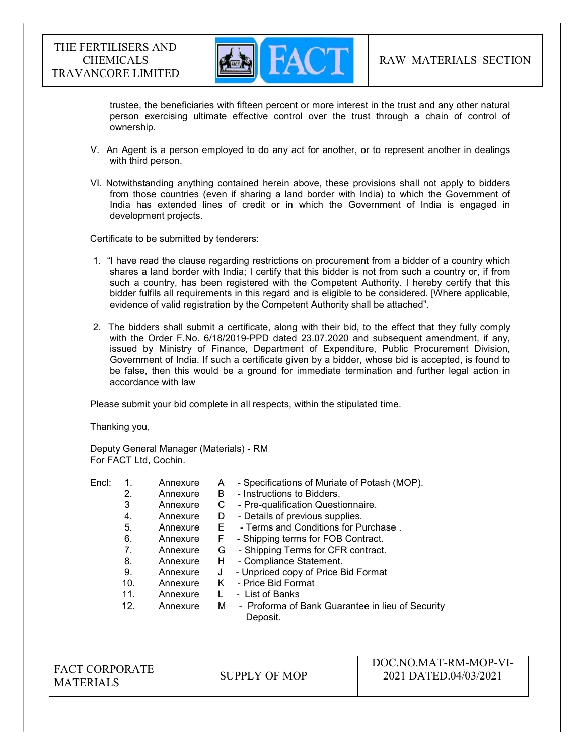

trustee, the beneficiaries with fifteen percent or more interest in the trust and any other natural person exercising ultimate effective control over the trust through a chain of control of ownership.

- V. An Agent is a person employed to do any act for another, or to represent another in dealings with third person.
- VI. Notwithstanding anything contained herein above, these provisions shall not apply to bidders from those countries (even if sharing a land border with India) to which the Government of India has extended lines of credit or in which the Government of India is engaged in development projects.

Certificate to be submitted by tenderers:

- 1. "I have read the clause regarding restrictions on procurement from a bidder of a country which shares a land border with India; I certify that this bidder is not from such a country or, if from such a country, has been registered with the Competent Authority. I hereby certify that this bidder fulfils all requirements in this regard and is eligible to be considered. [Where applicable, evidence of valid registration by the Competent Authority shall be attached".
- 2. The bidders shall submit a certificate, along with their bid, to the effect that they fully comply with the Order F.No. 6/18/2019-PPD dated 23.07.2020 and subsequent amendment, if any, issued by Ministry of Finance, Department of Expenditure, Public Procurement Division, Government of India. If such a certificate given by a bidder, whose bid is accepted, is found to be false, then this would be a ground for immediate termination and further legal action in accordance with law

Please submit your bid complete in all respects, within the stipulated time.

Thanking you,

Deputy General Manager (Materials) - RM For FACT Ltd, Cochin.

Encl: 1. Annexure A - Specifications of Muriate of Potash (MOP). 2. Annexure B - Instructions to Bidders. 3 Annexure C - Pre-qualification Questionnaire. 4. Annexure D - Details of previous supplies. 5. Annexure E - Terms and Conditions for Purchase . 6. Annexure F - Shipping terms for FOB Contract. 7. Annexure G - Shipping Terms for CFR contract. 8. Annexure H - Compliance Statement. 9. Annexure J - Unpriced copy of Price Bid Format 10. Annexure K - Price Bid Format 11. Annexure L - List of Banks 12. Annexure M - Proforma of Bank Guarantee in lieu of Security Deposit.

FACT CORPORATE MATERIALS SUPPLY OF MOP

DOC.NO.MAT-RM-MOP-VI-2021 DATED.04/03/2021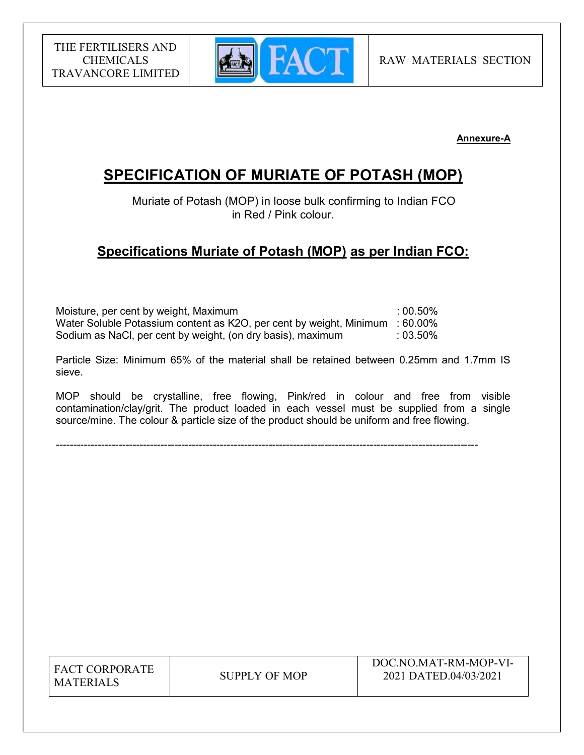

Annexure-A

# SPECIFICATION OF MURIATE OF POTASH (MOP)

 Muriate of Potash (MOP) in loose bulk confirming to Indian FCO in Red / Pink colour.

# Specifications Muriate of Potash (MOP) as per Indian FCO:

Moisture, per cent by weight, Maximum : 00.50% Water Soluble Potassium content as K2O, per cent by weight, Minimum : 60.00% Sodium as NaCl, per cent by weight, (on dry basis), maximum : 03.50%

Particle Size: Minimum 65% of the material shall be retained between 0.25mm and 1.7mm IS sieve.

MOP should be crystalline, free flowing, Pink/red in colour and free from visible contamination/clay/grit. The product loaded in each vessel must be supplied from a single source/mine. The colour & particle size of the product should be uniform and free flowing.

-------------------------------------------------------------------------------------------------------------------------

| <b>FACT CORPORATE</b> |
|-----------------------|
| <b>MATERIALS</b>      |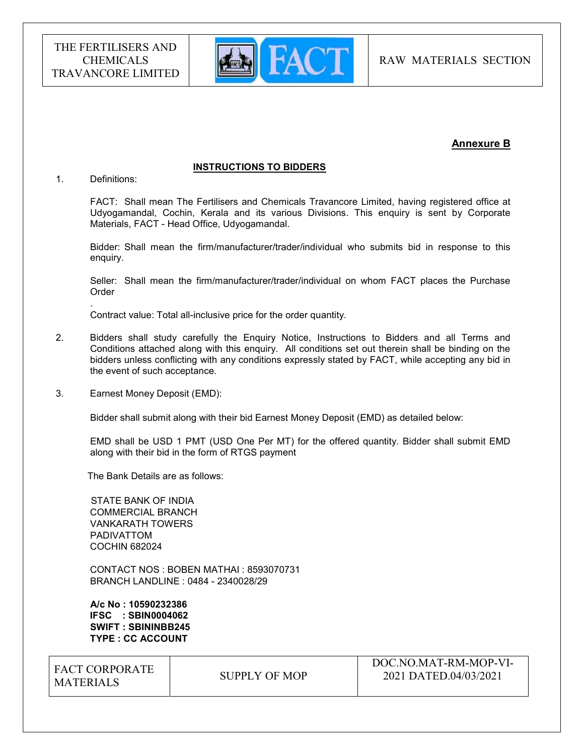

# Annexure B

#### INSTRUCTIONS TO BIDDERS

1. Definitions:

.

FACT: Shall mean The Fertilisers and Chemicals Travancore Limited, having registered office at Udyogamandal, Cochin, Kerala and its various Divisions. This enquiry is sent by Corporate Materials, FACT - Head Office, Udyogamandal.

Bidder: Shall mean the firm/manufacturer/trader/individual who submits bid in response to this enquiry.

Seller: Shall mean the firm/manufacturer/trader/individual on whom FACT places the Purchase Order

Contract value: Total all-inclusive price for the order quantity.

- 2. Bidders shall study carefully the Enquiry Notice, Instructions to Bidders and all Terms and Conditions attached along with this enquiry. All conditions set out therein shall be binding on the bidders unless conflicting with any conditions expressly stated by FACT, while accepting any bid in the event of such acceptance.
- 3. Earnest Money Deposit (EMD):

Bidder shall submit along with their bid Earnest Money Deposit (EMD) as detailed below:

EMD shall be USD 1 PMT (USD One Per MT) for the offered quantity. Bidder shall submit EMD along with their bid in the form of RTGS payment

The Bank Details are as follows:

 STATE BANK OF INDIA COMMERCIAL BRANCH VANKARATH TOWERS PADIVATTOM COCHIN 682024

 CONTACT NOS : BOBEN MATHAI : 8593070731 BRANCH LANDLINE : 0484 - 2340028/29

 A/c No : 10590232386 IFSC : SBIN0004062 SWIFT : SBININBB245 TYPE : CC ACCOUNT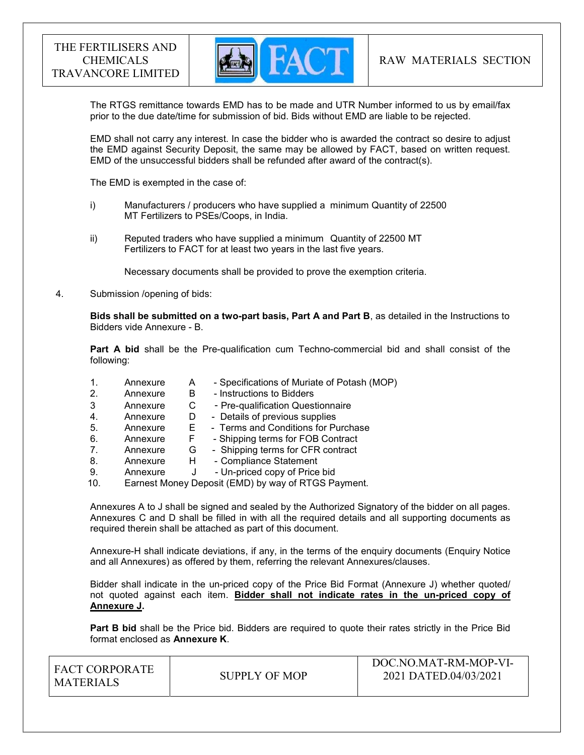

The RTGS remittance towards EMD has to be made and UTR Number informed to us by email/fax prior to the due date/time for submission of bid. Bids without EMD are liable to be rejected.

EMD shall not carry any interest. In case the bidder who is awarded the contract so desire to adjust the EMD against Security Deposit, the same may be allowed by FACT, based on written request. EMD of the unsuccessful bidders shall be refunded after award of the contract(s).

The EMD is exempted in the case of:

- i) Manufacturers / producers who have supplied a minimum Quantity of 22500 MT Fertilizers to PSEs/Coops, in India.
- ii) Reputed traders who have supplied a minimum Quantity of 22500 MT Fertilizers to FACT for at least two years in the last five years.

Necessary documents shall be provided to prove the exemption criteria.

4. Submission /opening of bids:

Bids shall be submitted on a two-part basis, Part A and Part B, as detailed in the Instructions to Bidders vide Annexure - B.

Part A bid shall be the Pre-qualification cum Techno-commercial bid and shall consist of the following:

- 1. Annexure A Specifications of Muriate of Potash (MOP)
- 2. Annexure B Instructions to Bidders
- 3 Annexure C Pre-qualification Questionnaire<br>4. Annexure D Details of previous supplies
- 4. Annexure D Details of previous supplies
- 5. Annexure E Terms and Conditions for Purchase
- 6. Annexure F Shipping terms for FOB Contract
- 7. Annexure G Shipping terms for CFR contract
- 8. Annexure H Compliance Statement
- 9. Annexure J Un-priced copy of Price bid
- 10. Earnest Money Deposit (EMD) by way of RTGS Payment.

Annexures A to J shall be signed and sealed by the Authorized Signatory of the bidder on all pages. Annexures C and D shall be filled in with all the required details and all supporting documents as required therein shall be attached as part of this document.

Annexure-H shall indicate deviations, if any, in the terms of the enquiry documents (Enquiry Notice and all Annexures) as offered by them, referring the relevant Annexures/clauses.

Bidder shall indicate in the un-priced copy of the Price Bid Format (Annexure J) whether quoted/ not quoted against each item. Bidder shall not indicate rates in the un-priced copy of Annexure J.

Part B bid shall be the Price bid. Bidders are required to quote their rates strictly in the Price Bid format enclosed as Annexure K.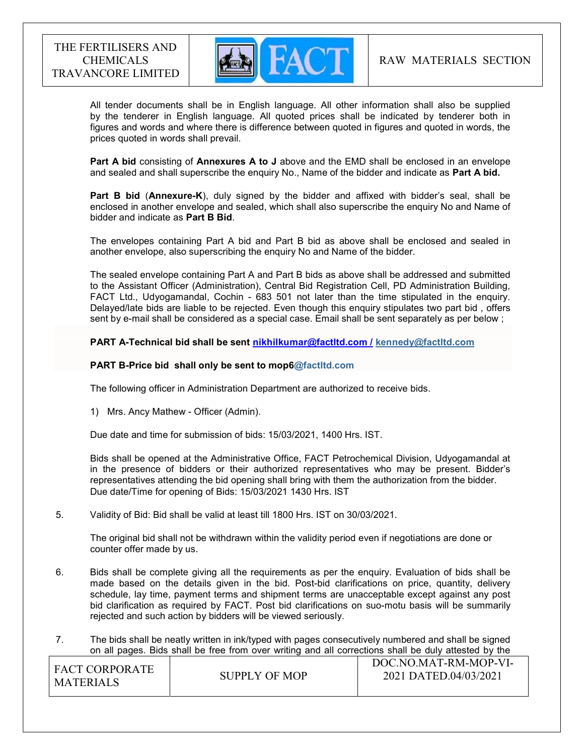

 All tender documents shall be in English language. All other information shall also be supplied by the tenderer in English language. All quoted prices shall be indicated by tenderer both in figures and words and where there is difference between quoted in figures and quoted in words, the prices quoted in words shall prevail.

Part A bid consisting of Annexures A to J above and the EMD shall be enclosed in an envelope and sealed and shall superscribe the enquiry No., Name of the bidder and indicate as Part A bid.

Part B bid (Annexure-K), duly signed by the bidder and affixed with bidder's seal, shall be enclosed in another envelope and sealed, which shall also superscribe the enquiry No and Name of bidder and indicate as Part B Bid.

The envelopes containing Part A bid and Part B bid as above shall be enclosed and sealed in another envelope, also superscribing the enquiry No and Name of the bidder.

The sealed envelope containing Part A and Part B bids as above shall be addressed and submitted to the Assistant Officer (Administration), Central Bid Registration Cell, PD Administration Building, FACT Ltd., Udyogamandal, Cochin - 683 501 not later than the time stipulated in the enquiry. Delayed/late bids are liable to be rejected. Even though this enquiry stipulates two part bid , offers sent by e-mail shall be considered as a special case. Email shall be sent separately as per below ;

PART A-Technical bid shall be sent nikhilkumar@factltd.com / kennedy@factltd.com

#### PART B-Price bid shall only be sent to mop6@factltd.com

The following officer in Administration Department are authorized to receive bids.

1) Mrs. Ancy Mathew - Officer (Admin).

Due date and time for submission of bids: 15/03/2021, 1400 Hrs. IST.

Bids shall be opened at the Administrative Office, FACT Petrochemical Division, Udyogamandal at in the presence of bidders or their authorized representatives who may be present. Bidder's representatives attending the bid opening shall bring with them the authorization from the bidder. Due date/Time for opening of Bids: 15/03/2021 1430 Hrs. IST

5. Validity of Bid: Bid shall be valid at least till 1800 Hrs. IST on 30/03/2021.

The original bid shall not be withdrawn within the validity period even if negotiations are done or counter offer made by us.

- 6. Bids shall be complete giving all the requirements as per the enquiry. Evaluation of bids shall be made based on the details given in the bid. Post-bid clarifications on price, quantity, delivery schedule, lay time, payment terms and shipment terms are unacceptable except against any post bid clarification as required by FACT. Post bid clarifications on suo-motu basis will be summarily rejected and such action by bidders will be viewed seriously.
- 7. The bids shall be neatly written in ink/typed with pages consecutively numbered and shall be signed on all pages. Bids shall be free from over writing and all corrections shall be duly attested by the

| <b>FACT CORPORATE</b> |               | DOC.NO.MAT-RM-MOP-VI- |
|-----------------------|---------------|-----------------------|
| MATERIALS             | SUPPLY OF MOP | 2021 DATED.04/03/2021 |
|                       |               |                       |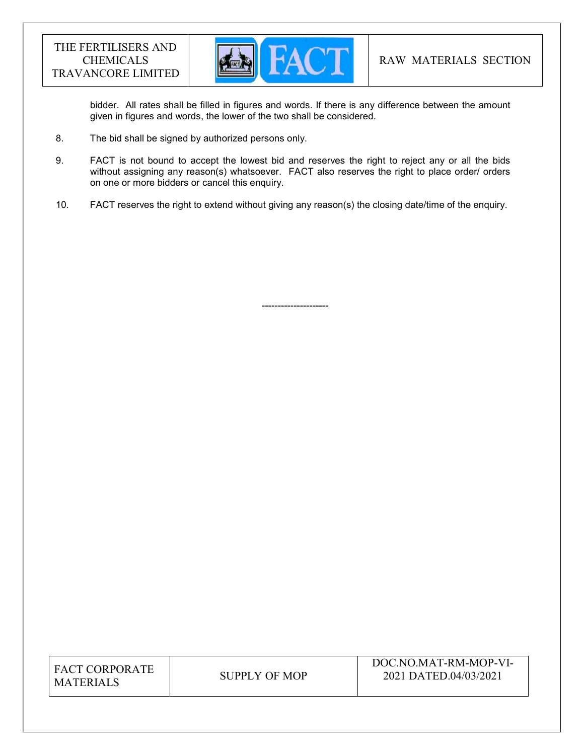

bidder. All rates shall be filled in figures and words. If there is any difference between the amount given in figures and words, the lower of the two shall be considered.

8. The bid shall be signed by authorized persons only.

---------------------

- 9. FACT is not bound to accept the lowest bid and reserves the right to reject any or all the bids without assigning any reason(s) whatsoever. FACT also reserves the right to place order/ orders on one or more bidders or cancel this enquiry.
- 10. FACT reserves the right to extend without giving any reason(s) the closing date/time of the enquiry.

| <b>FACT CORPORATE</b> |
|-----------------------|
| <b>MATERIALS</b>      |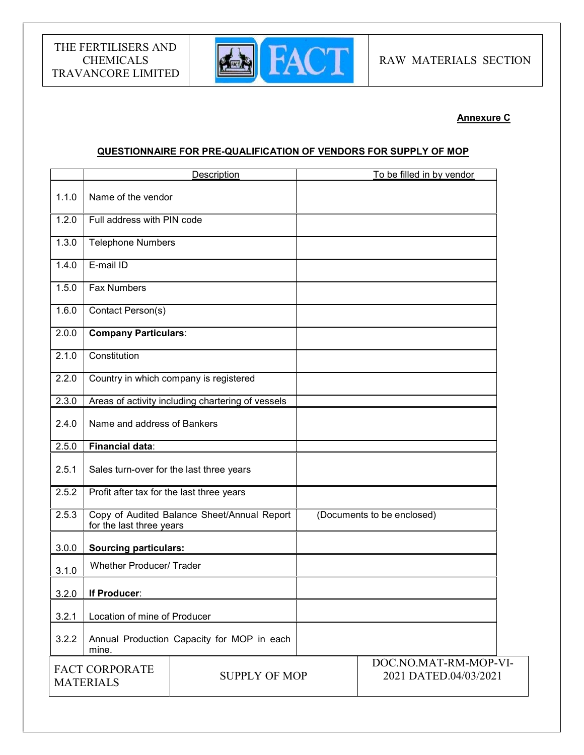

# Annexure C

# QUESTIONNAIRE FOR PRE-QUALIFICATION OF VENDORS FOR SUPPLY OF MOP

|                                                                   | Description                                                             |                                                   | To be filled in by vendor  |
|-------------------------------------------------------------------|-------------------------------------------------------------------------|---------------------------------------------------|----------------------------|
| 1.1.0                                                             | Name of the vendor                                                      |                                                   |                            |
| 1.2.0                                                             | Full address with PIN code                                              |                                                   |                            |
| 1.3.0                                                             | <b>Telephone Numbers</b>                                                |                                                   |                            |
| 1.4.0                                                             | E-mail ID                                                               |                                                   |                            |
| 1.5.0                                                             | <b>Fax Numbers</b>                                                      |                                                   |                            |
| 1.6.0                                                             | Contact Person(s)                                                       |                                                   |                            |
| 2.0.0                                                             | <b>Company Particulars:</b>                                             |                                                   |                            |
| 2.1.0                                                             | Constitution                                                            |                                                   |                            |
| 2.2.0                                                             |                                                                         | Country in which company is registered            |                            |
| 2.3.0                                                             |                                                                         | Areas of activity including chartering of vessels |                            |
| 2.4.0                                                             | Name and address of Bankers                                             |                                                   |                            |
| 2.5.0                                                             | <b>Financial data:</b>                                                  |                                                   |                            |
| 2.5.1                                                             | Sales turn-over for the last three years                                |                                                   |                            |
| 2.5.2                                                             | Profit after tax for the last three years                               |                                                   |                            |
| 2.5.3                                                             | Copy of Audited Balance Sheet/Annual Report<br>for the last three years |                                                   | (Documents to be enclosed) |
| 3.0.0                                                             | <b>Sourcing particulars:</b>                                            |                                                   |                            |
| 3.1.0                                                             | <b>Whether Producer/ Trader</b>                                         |                                                   |                            |
| 3.2.0                                                             | If Producer:                                                            |                                                   |                            |
| 3.2.1                                                             | Location of mine of Producer                                            |                                                   |                            |
| 3.2.2                                                             | mine.                                                                   | Annual Production Capacity for MOP in each        |                            |
| <b>FACT CORPORATE</b><br><b>SUPPLY OF MOP</b><br><b>MATERIALS</b> |                                                                         | DOC.NO.MAT-RM-MOP-VI-<br>2021 DATED.04/03/2021    |                            |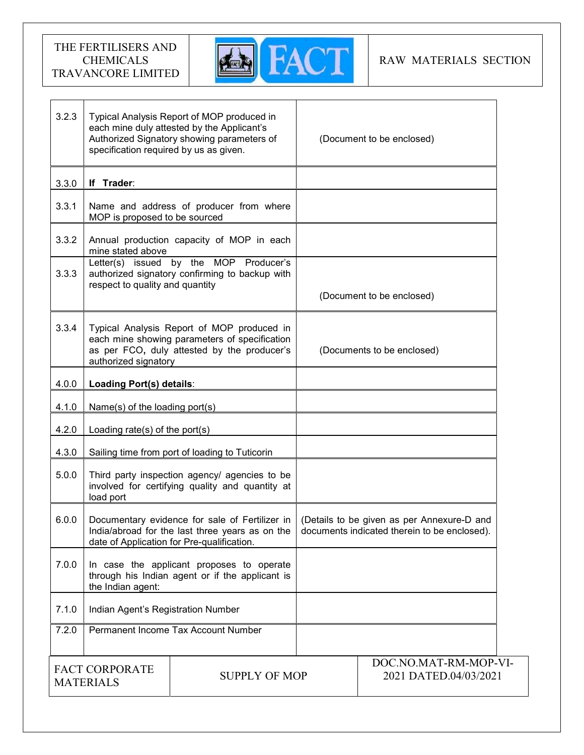

| 3.2.3                                                             | specification required by us as given.                                                                                                                             | Typical Analysis Report of MOP produced in<br>each mine duly attested by the Applicant's<br>Authorized Signatory showing parameters of | (Document to be enclosed)                      |                                                                                            |
|-------------------------------------------------------------------|--------------------------------------------------------------------------------------------------------------------------------------------------------------------|----------------------------------------------------------------------------------------------------------------------------------------|------------------------------------------------|--------------------------------------------------------------------------------------------|
| 3.3.0                                                             | If Trader:                                                                                                                                                         |                                                                                                                                        |                                                |                                                                                            |
| 3.3.1                                                             | MOP is proposed to be sourced                                                                                                                                      | Name and address of producer from where                                                                                                |                                                |                                                                                            |
| 3.3.2                                                             | mine stated above                                                                                                                                                  | Annual production capacity of MOP in each                                                                                              |                                                |                                                                                            |
| 3.3.3                                                             | respect to quality and quantity                                                                                                                                    | Letter(s) issued by the MOP Producer's<br>authorized signatory confirming to backup with                                               | (Document to be enclosed)                      |                                                                                            |
| 3.3.4                                                             | Typical Analysis Report of MOP produced in<br>each mine showing parameters of specification<br>as per FCO, duly attested by the producer's<br>authorized signatory |                                                                                                                                        | (Documents to be enclosed)                     |                                                                                            |
| 4.0.0                                                             | Loading Port(s) details:                                                                                                                                           |                                                                                                                                        |                                                |                                                                                            |
| 4.1.0                                                             | Name(s) of the loading port(s)                                                                                                                                     |                                                                                                                                        |                                                |                                                                                            |
| 4.2.0                                                             | Loading rate(s) of the port(s)                                                                                                                                     |                                                                                                                                        |                                                |                                                                                            |
| 4.3.0                                                             | Sailing time from port of loading to Tuticorin                                                                                                                     |                                                                                                                                        |                                                |                                                                                            |
| 5.0.0                                                             | Third party inspection agency/ agencies to be<br>involved for certifying quality and quantity at<br>load port                                                      |                                                                                                                                        |                                                |                                                                                            |
| 6.0.0                                                             | Documentary evidence for sale of Fertilizer in<br>India/abroad for the last three years as on the<br>date of Application for Pre-qualification.                    |                                                                                                                                        |                                                | (Details to be given as per Annexure-D and<br>documents indicated therein to be enclosed). |
| 7.0.0                                                             | In case the applicant proposes to operate<br>through his Indian agent or if the applicant is<br>the Indian agent:                                                  |                                                                                                                                        |                                                |                                                                                            |
| 7.1.0                                                             | Indian Agent's Registration Number                                                                                                                                 |                                                                                                                                        |                                                |                                                                                            |
| 7.2.0                                                             | Permanent Income Tax Account Number                                                                                                                                |                                                                                                                                        |                                                |                                                                                            |
| <b>FACT CORPORATE</b><br><b>SUPPLY OF MOP</b><br><b>MATERIALS</b> |                                                                                                                                                                    |                                                                                                                                        | DOC.NO.MAT-RM-MOP-VI-<br>2021 DATED.04/03/2021 |                                                                                            |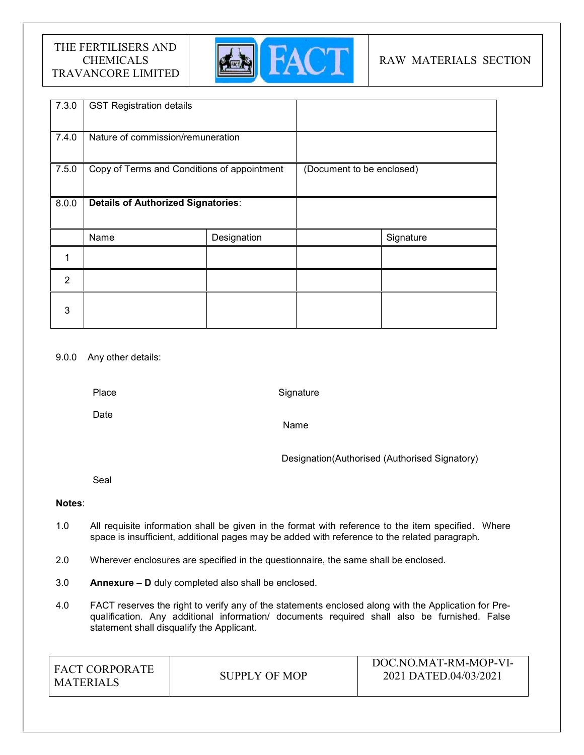

# RAW MATERIALS SECTION

| 7.3.0          | <b>GST Registration details</b>             |             |                           |           |
|----------------|---------------------------------------------|-------------|---------------------------|-----------|
| 7.4.0          | Nature of commission/remuneration           |             |                           |           |
| 7.5.0          | Copy of Terms and Conditions of appointment |             | (Document to be enclosed) |           |
| 8.0.0          | <b>Details of Authorized Signatories:</b>   |             |                           |           |
|                | Name                                        | Designation |                           | Signature |
| 1              |                                             |             |                           |           |
| $\overline{2}$ |                                             |             |                           |           |
| 3              |                                             |             |                           |           |

### 9.0.0 Any other details:

Place

**Signature** 

Date

Name

Designation(Authorised (Authorised Signatory)

Seal

### Notes:

- 1.0 All requisite information shall be given in the format with reference to the item specified. Where space is insufficient, additional pages may be added with reference to the related paragraph.
- 2.0 Wherever enclosures are specified in the questionnaire, the same shall be enclosed.
- 3.0 Annexure D duly completed also shall be enclosed.
- 4.0 FACT reserves the right to verify any of the statements enclosed along with the Application for Prequalification. Any additional information/ documents required shall also be furnished. False statement shall disqualify the Applicant.

| LEACT CORPORATE<br>MATERIALS | SUPPLY OF MOP | DOC.NO.MAT-RM-MOP-VI-<br>2021 DATED.04/03/2021 |
|------------------------------|---------------|------------------------------------------------|
|------------------------------|---------------|------------------------------------------------|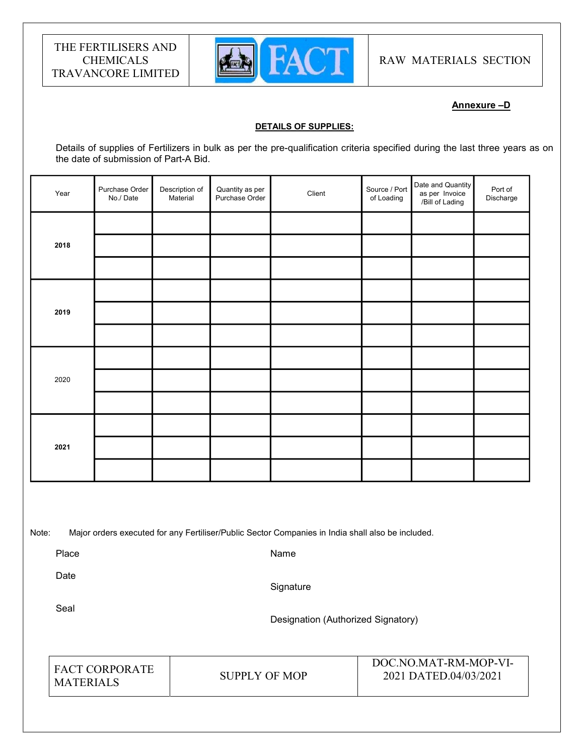

RAW MATERIALS SECTION

# Annexure –D

#### DETAILS OF SUPPLIES:

Details of supplies of Fertilizers in bulk as per the pre-qualification criteria specified during the last three years as on the date of submission of Part-A Bid.

| Year | Purchase Order<br>No./Date | Description of<br>Material | Quantity as per<br>Purchase Order | Client | Source / Port<br>of Loading | Date and Quantity<br>as per Invoice<br>/Bill of Lading | Port of<br>Discharge |  |
|------|----------------------------|----------------------------|-----------------------------------|--------|-----------------------------|--------------------------------------------------------|----------------------|--|
|      |                            |                            |                                   |        |                             |                                                        |                      |  |
| 2018 |                            |                            |                                   |        |                             |                                                        |                      |  |
|      |                            |                            |                                   |        |                             |                                                        |                      |  |
|      |                            |                            |                                   |        |                             |                                                        |                      |  |
| 2019 |                            |                            |                                   |        |                             |                                                        |                      |  |
|      |                            |                            |                                   |        |                             |                                                        |                      |  |
|      |                            |                            |                                   |        |                             |                                                        |                      |  |
| 2020 |                            |                            |                                   |        |                             |                                                        |                      |  |
|      |                            |                            |                                   |        |                             |                                                        |                      |  |
|      |                            |                            |                                   |        |                             |                                                        |                      |  |
| 2021 |                            |                            |                                   |        |                             |                                                        |                      |  |
|      |                            |                            |                                   |        |                             |                                                        |                      |  |
|      |                            |                            |                                   |        |                             |                                                        |                      |  |

Note: Major orders executed for any Fertiliser/Public Sector Companies in India shall also be included.

Place

Name

Date

**Signature** 

Seal

Designation (Authorized Signatory)

| <b>FACT CORPORATE</b><br><b>MATERIALS</b> | SUPPLY OF MOP |
|-------------------------------------------|---------------|
|-------------------------------------------|---------------|

DOC.NO.MAT-RM-MOP-VI-2021 DATED.04/03/2021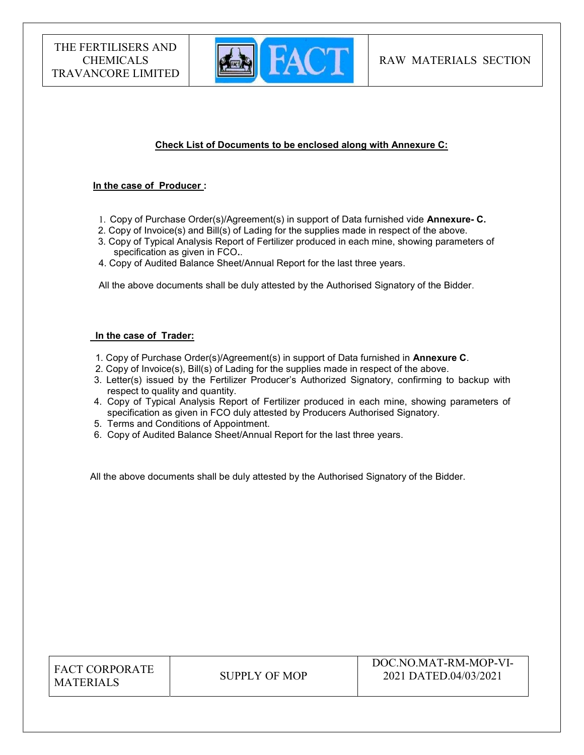

# Check List of Documents to be enclosed along with Annexure C:

#### In the case of Producer :

- 1. Copy of Purchase Order(s)/Agreement(s) in support of Data furnished vide Annexure- C.
- 2. Copy of Invoice(s) and Bill(s) of Lading for the supplies made in respect of the above.
- 3. Copy of Typical Analysis Report of Fertilizer produced in each mine, showing parameters of specification as given in FCO..
- 4. Copy of Audited Balance Sheet/Annual Report for the last three years.

All the above documents shall be duly attested by the Authorised Signatory of the Bidder.

#### In the case of Trader:

- 1. Copy of Purchase Order(s)/Agreement(s) in support of Data furnished in Annexure C.
- 2. Copy of Invoice(s), Bill(s) of Lading for the supplies made in respect of the above.
- 3. Letter(s) issued by the Fertilizer Producer's Authorized Signatory, confirming to backup with respect to quality and quantity.
- 4. Copy of Typical Analysis Report of Fertilizer produced in each mine, showing parameters of specification as given in FCO duly attested by Producers Authorised Signatory.
- 5. Terms and Conditions of Appointment.
- 6. Copy of Audited Balance Sheet/Annual Report for the last three years.

All the above documents shall be duly attested by the Authorised Signatory of the Bidder.

| <b>FACT CORPORATE</b> |
|-----------------------|
| <b>MATERIALS</b>      |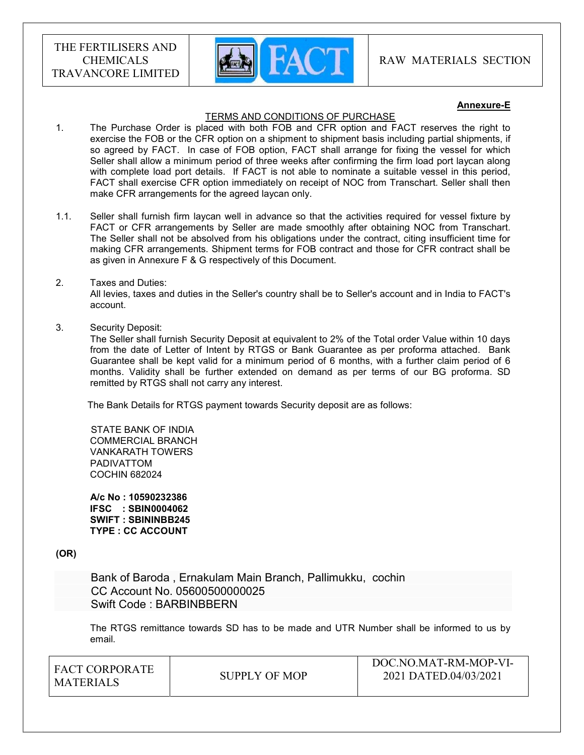

 $DQQVQVQVHDQVHQQV$ 

#### Annexure-E

#### TERMS AND CONDITIONS OF PURCHASE

- 1. The Purchase Order is placed with both FOB and CFR option and FACT reserves the right to exercise the FOB or the CFR option on a shipment to shipment basis including partial shipments, if so agreed by FACT. In case of FOB option, FACT shall arrange for fixing the vessel for which Seller shall allow a minimum period of three weeks after confirming the firm load port laycan along with complete load port details. If FACT is not able to nominate a suitable vessel in this period, FACT shall exercise CFR option immediately on receipt of NOC from Transchart. Seller shall then make CFR arrangements for the agreed laycan only.
- 1.1. Seller shall furnish firm laycan well in advance so that the activities required for vessel fixture by FACT or CFR arrangements by Seller are made smoothly after obtaining NOC from Transchart. The Seller shall not be absolved from his obligations under the contract, citing insufficient time for making CFR arrangements. Shipment terms for FOB contract and those for CFR contract shall be as given in Annexure F & G respectively of this Document.

#### 2. Taxes and Duties:

All levies, taxes and duties in the Seller's country shall be to Seller's account and in India to FACT's account.

3. Security Deposit:

The Seller shall furnish Security Deposit at equivalent to 2% of the Total order Value within 10 days from the date of Letter of Intent by RTGS or Bank Guarantee as per proforma attached. Bank Guarantee shall be kept valid for a minimum period of 6 months, with a further claim period of 6 months. Validity shall be further extended on demand as per terms of our BG proforma. SD remitted by RTGS shall not carry any interest.

The Bank Details for RTGS payment towards Security deposit are as follows:

 STATE BANK OF INDIA COMMERCIAL BRANCH VANKARATH TOWERS PADIVATTOM COCHIN 682024

 A/c No : 10590232386 IFSC : SBIN0004062 SWIFT : SBININBB245 TYPE : CC ACCOUNT

(OR)

 Bank of Baroda , Ernakulam Main Branch, Pallimukku, cochin CC Account No. 05600500000025 Swift Code : BARBINBBERN

The RTGS remittance towards SD has to be made and UTR Number shall be informed to us by email.

| <sup>1</sup> FACT CORPORATE | SUPPLY OF MOP | $1)$ $O$ C.NO.MAT-RM-MOP-VI-<br>2021 DATED.04/03/2021 |
|-----------------------------|---------------|-------------------------------------------------------|
| <b>MATERIALS</b>            |               |                                                       |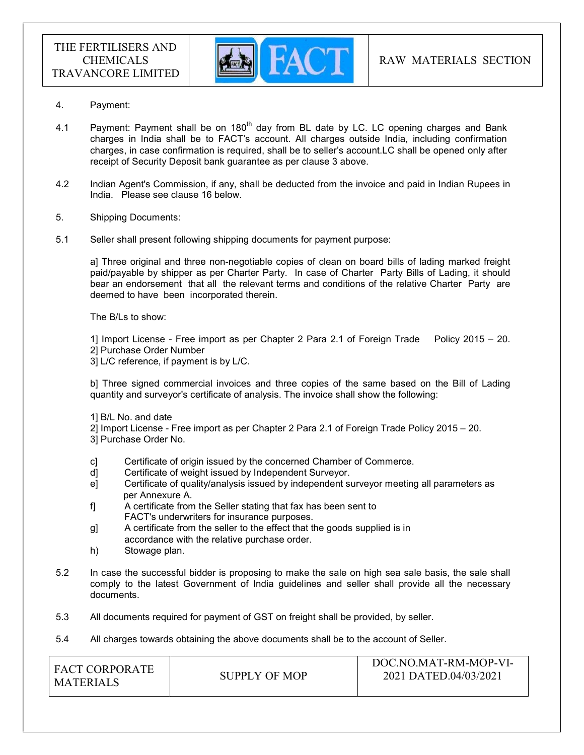

- 4. Payment:
- 4.1 Payment: Payment shall be on  $180<sup>th</sup>$  day from BL date by LC. LC opening charges and Bank charges in India shall be to FACT's account. All charges outside India, including confirmation charges, in case confirmation is required, shall be to seller's account.LC shall be opened only after receipt of Security Deposit bank guarantee as per clause 3 above.
- 4.2 Indian Agent's Commission, if any, shall be deducted from the invoice and paid in Indian Rupees in India. Please see clause 16 below.
- 5. Shipping Documents:
- 5.1 Seller shall present following shipping documents for payment purpose:

a] Three original and three non-negotiable copies of clean on board bills of lading marked freight paid/payable by shipper as per Charter Party. In case of Charter Party Bills of Lading, it should bear an endorsement that all the relevant terms and conditions of the relative Charter Party are deemed to have been incorporated therein.

The B/Ls to show:

1] Import License - Free import as per Chapter 2 Para 2.1 of Foreign Trade Policy 2015 – 20. 2] Purchase Order Number

3] L/C reference, if payment is by L/C.

b] Three signed commercial invoices and three copies of the same based on the Bill of Lading quantity and surveyor's certificate of analysis. The invoice shall show the following:

- 1] B/L No. and date
- 2] Import License Free import as per Chapter 2 Para 2.1 of Foreign Trade Policy 2015 20.
- 3] Purchase Order No.
- c] Certificate of origin issued by the concerned Chamber of Commerce.
- d] Certificate of weight issued by Independent Surveyor.
- e] Certificate of quality/analysis issued by independent surveyor meeting all parameters as per Annexure A.
- f] A certificate from the Seller stating that fax has been sent to FACT's underwriters for insurance purposes.
- g] A certificate from the seller to the effect that the goods supplied is in accordance with the relative purchase order.
- h) Stowage plan.
- 5.2 In case the successful bidder is proposing to make the sale on high sea sale basis, the sale shall comply to the latest Government of India guidelines and seller shall provide all the necessary documents.
- 5.3 All documents required for payment of GST on freight shall be provided, by seller.
- 5.4 All charges towards obtaining the above documents shall be to the account of Seller.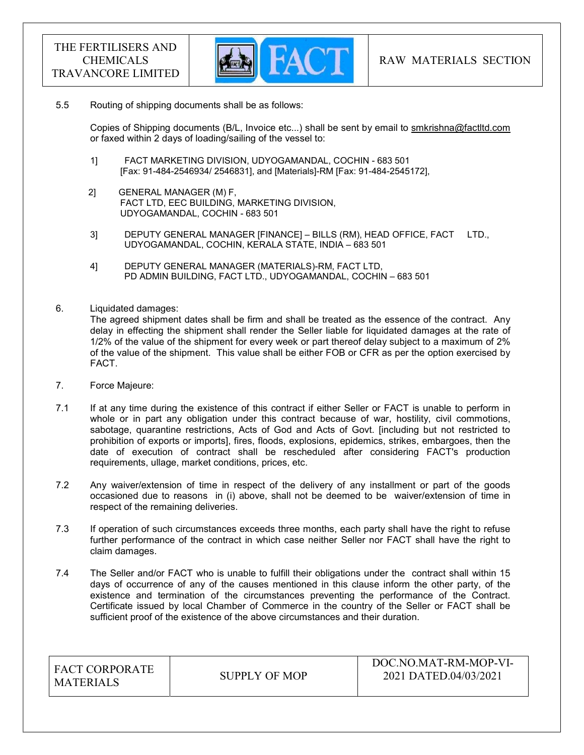

#### 5.5 Routing of shipping documents shall be as follows:

 Copies of Shipping documents (B/L, Invoice etc...) shall be sent by email to smkrishna@factltd.com or faxed within 2 days of loading/sailing of the vessel to:

- 1] FACT MARKETING DIVISION, UDYOGAMANDAL, COCHIN 683 501 [Fax: 91-484-2546934/ 2546831], and [Materials]-RM [Fax: 91-484-2545172],
- 2] GENERAL MANAGER (M) F, FACT LTD, EEC BUILDING, MARKETING DIVISION, UDYOGAMANDAL, COCHIN - 683 501
- 3] DEPUTY GENERAL MANAGER [FINANCE] BILLS (RM), HEAD OFFICE, FACT LTD., UDYOGAMANDAL, COCHIN, KERALA STATE, INDIA – 683 501
- 4] DEPUTY GENERAL MANAGER (MATERIALS)-RM, FACT LTD, PD ADMIN BUILDING, FACT LTD., UDYOGAMANDAL, COCHIN – 683 501
- 6. Liquidated damages:

The agreed shipment dates shall be firm and shall be treated as the essence of the contract. Any delay in effecting the shipment shall render the Seller liable for liquidated damages at the rate of 1/2% of the value of the shipment for every week or part thereof delay subject to a maximum of 2% of the value of the shipment. This value shall be either FOB or CFR as per the option exercised by FACT.

- 7. Force Majeure:
- 7.1 If at any time during the existence of this contract if either Seller or FACT is unable to perform in whole or in part any obligation under this contract because of war, hostility, civil commotions, sabotage, quarantine restrictions, Acts of God and Acts of Govt. [including but not restricted to prohibition of exports or imports], fires, floods, explosions, epidemics, strikes, embargoes, then the date of execution of contract shall be rescheduled after considering FACT's production requirements, ullage, market conditions, prices, etc.
- 7.2 Any waiver/extension of time in respect of the delivery of any installment or part of the goods occasioned due to reasons in (i) above, shall not be deemed to be waiver/extension of time in respect of the remaining deliveries.
- 7.3 If operation of such circumstances exceeds three months, each party shall have the right to refuse further performance of the contract in which case neither Seller nor FACT shall have the right to claim damages.
- 7.4 The Seller and/or FACT who is unable to fulfill their obligations under the contract shall within 15 days of occurrence of any of the causes mentioned in this clause inform the other party, of the existence and termination of the circumstances preventing the performance of the Contract. Certificate issued by local Chamber of Commerce in the country of the Seller or FACT shall be sufficient proof of the existence of the above circumstances and their duration.

| LEACT CORPORATE<br><b>MATERIALS</b> | SUPPLY OF MOP | DOC.NO.MAT-RM-MOP-VI-<br>2021 DATED.04/03/2021 |
|-------------------------------------|---------------|------------------------------------------------|
|-------------------------------------|---------------|------------------------------------------------|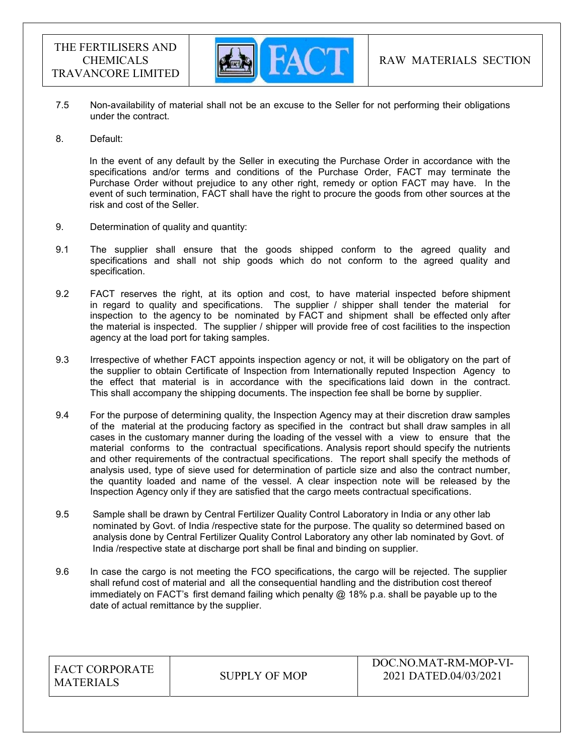

- 7.5 Non-availability of material shall not be an excuse to the Seller for not performing their obligations under the contract.
- 8. Default:

In the event of any default by the Seller in executing the Purchase Order in accordance with the specifications and/or terms and conditions of the Purchase Order, FACT may terminate the Purchase Order without prejudice to any other right, remedy or option FACT may have. In the event of such termination, FACT shall have the right to procure the goods from other sources at the risk and cost of the Seller.

- 9. Determination of quality and quantity:
- 9.1 The supplier shall ensure that the goods shipped conform to the agreed quality and specifications and shall not ship goods which do not conform to the agreed quality and specification.
- 9.2 FACT reserves the right, at its option and cost, to have material inspected before shipment in regard to quality and specifications. The supplier  $/$  shipper shall tender the material for inspection to the agency to be nominated by FACT and shipment shall be effected only after the material is inspected. The supplier / shipper will provide free of cost facilities to the inspection agency at the load port for taking samples.
- 9.3 Irrespective of whether FACT appoints inspection agency or not, it will be obligatory on the part of the supplier to obtain Certificate of Inspection from Internationally reputed Inspection Agency to the effect that material is in accordance with the specifications laid down in the contract. This shall accompany the shipping documents. The inspection fee shall be borne by supplier.
- 9.4 For the purpose of determining quality, the Inspection Agency may at their discretion draw samples of the material at the producing factory as specified in the contract but shall draw samples in all cases in the customary manner during the loading of the vessel with a view to ensure that the material conforms to the contractual specifications. Analysis report should specify the nutrients and other requirements of the contractual specifications. The report shall specify the methods of analysis used, type of sieve used for determination of particle size and also the contract number, the quantity loaded and name of the vessel. A clear inspection note will be released by the Inspection Agency only if they are satisfied that the cargo meets contractual specifications.
- 9.5 Sample shall be drawn by Central Fertilizer Quality Control Laboratory in India or any other lab nominated by Govt. of India /respective state for the purpose. The quality so determined based on analysis done by Central Fertilizer Quality Control Laboratory any other lab nominated by Govt. of India /respective state at discharge port shall be final and binding on supplier.
- 9.6 In case the cargo is not meeting the FCO specifications, the cargo will be rejected. The supplier shall refund cost of material and all the consequential handling and the distribution cost thereof immediately on FACT's first demand failing which penalty  $@$  18% p.a. shall be payable up to the date of actual remittance by the supplier.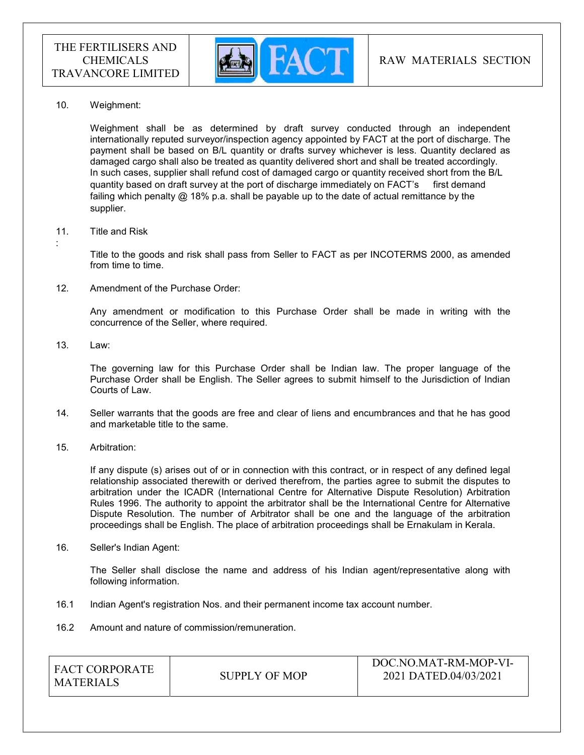

10. Weighment:

 Weighment shall be as determined by draft survey conducted through an independent internationally reputed surveyor/inspection agency appointed by FACT at the port of discharge. The payment shall be based on B/L quantity or drafts survey whichever is less. Quantity declared as damaged cargo shall also be treated as quantity delivered short and shall be treated accordingly. In such cases, supplier shall refund cost of damaged cargo or quantity received short from the B/L quantity based on draft survey at the port of discharge immediately on FACT's first demand failing which penalty @ 18% p.a. shall be payable up to the date of actual remittance by the supplier.

#### 11. Title and Risk

Title to the goods and risk shall pass from Seller to FACT as per INCOTERMS 2000, as amended from time to time.

12. Amendment of the Purchase Order:

Any amendment or modification to this Purchase Order shall be made in writing with the concurrence of the Seller, where required.

13. Law:

:

The governing law for this Purchase Order shall be Indian law. The proper language of the Purchase Order shall be English. The Seller agrees to submit himself to the Jurisdiction of Indian Courts of Law.

- 14. Seller warrants that the goods are free and clear of liens and encumbrances and that he has good and marketable title to the same.
- 15. Arbitration:

If any dispute (s) arises out of or in connection with this contract, or in respect of any defined legal relationship associated therewith or derived therefrom, the parties agree to submit the disputes to arbitration under the ICADR (International Centre for Alternative Dispute Resolution) Arbitration Rules 1996. The authority to appoint the arbitrator shall be the International Centre for Alternative Dispute Resolution. The number of Arbitrator shall be one and the language of the arbitration proceedings shall be English. The place of arbitration proceedings shall be Ernakulam in Kerala.

16. Seller's Indian Agent:

The Seller shall disclose the name and address of his Indian agent/representative along with following information.

- 16.1 Indian Agent's registration Nos. and their permanent income tax account number.
- 16.2 Amount and nature of commission/remuneration.

| <b>FACT CORPORATE</b><br>MATERIALS | SUPPLY OF MOP | DOC.NO.MAT-RM-MOP-VI-<br>2021 DATED.04/03/2021 |
|------------------------------------|---------------|------------------------------------------------|
|                                    |               |                                                |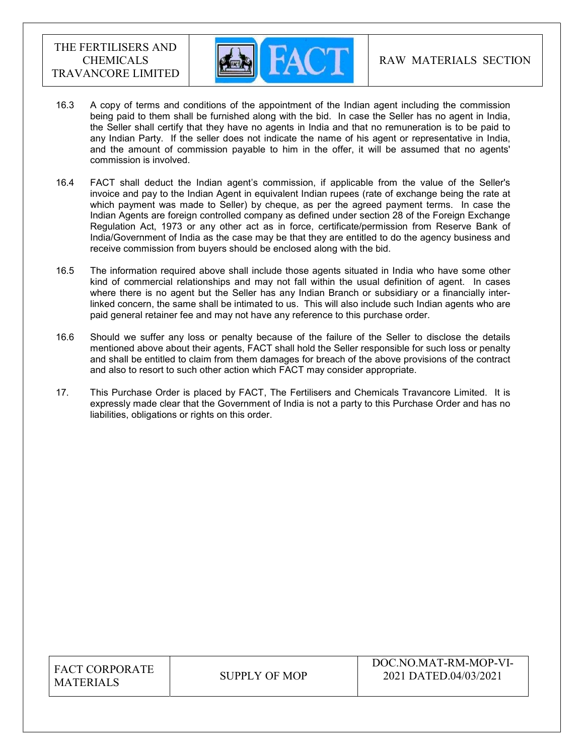

- 16.3 A copy of terms and conditions of the appointment of the Indian agent including the commission being paid to them shall be furnished along with the bid. In case the Seller has no agent in India, the Seller shall certify that they have no agents in India and that no remuneration is to be paid to any Indian Party. If the seller does not indicate the name of his agent or representative in India, and the amount of commission payable to him in the offer, it will be assumed that no agents' commission is involved.
- 16.4 FACT shall deduct the Indian agent's commission, if applicable from the value of the Seller's invoice and pay to the Indian Agent in equivalent Indian rupees (rate of exchange being the rate at which payment was made to Seller) by cheque, as per the agreed payment terms. In case the Indian Agents are foreign controlled company as defined under section 28 of the Foreign Exchange Regulation Act, 1973 or any other act as in force, certificate/permission from Reserve Bank of India/Government of India as the case may be that they are entitled to do the agency business and receive commission from buyers should be enclosed along with the bid.
- 16.5 The information required above shall include those agents situated in India who have some other kind of commercial relationships and may not fall within the usual definition of agent. In cases where there is no agent but the Seller has any Indian Branch or subsidiary or a financially interlinked concern, the same shall be intimated to us. This will also include such Indian agents who are paid general retainer fee and may not have any reference to this purchase order.
- 16.6 Should we suffer any loss or penalty because of the failure of the Seller to disclose the details mentioned above about their agents, FACT shall hold the Seller responsible for such loss or penalty and shall be entitled to claim from them damages for breach of the above provisions of the contract and also to resort to such other action which FACT may consider appropriate.
- 17. This Purchase Order is placed by FACT, The Fertilisers and Chemicals Travancore Limited. It is expressly made clear that the Government of India is not a party to this Purchase Order and has no liabilities, obligations or rights on this order.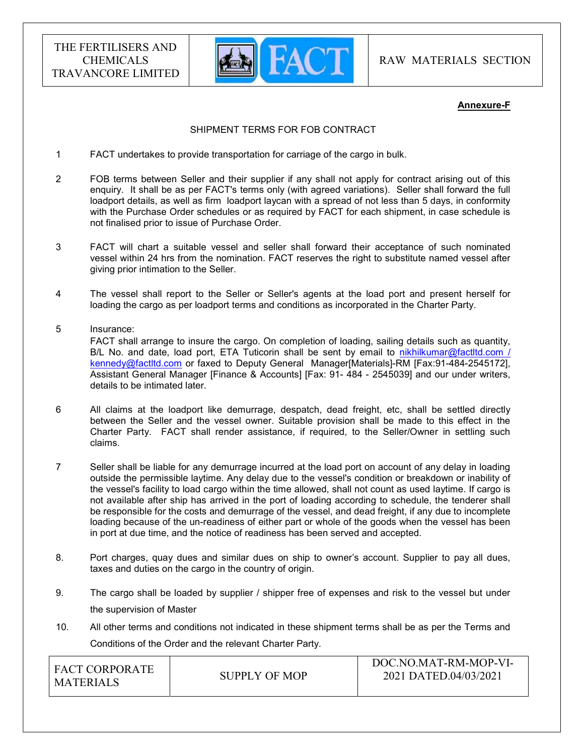

RAW MATERIALS SECTION

#### Annexure-F

#### SHIPMENT TERMS FOR FOB CONTRACT

- 1 FACT undertakes to provide transportation for carriage of the cargo in bulk.
- 2 FOB terms between Seller and their supplier if any shall not apply for contract arising out of this enquiry. It shall be as per FACT's terms only (with agreed variations). Seller shall forward the full loadport details, as well as firm loadport laycan with a spread of not less than 5 days, in conformity with the Purchase Order schedules or as required by FACT for each shipment, in case schedule is not finalised prior to issue of Purchase Order.
- 3 FACT will chart a suitable vessel and seller shall forward their acceptance of such nominated vessel within 24 hrs from the nomination. FACT reserves the right to substitute named vessel after giving prior intimation to the Seller.
- 4 The vessel shall report to the Seller or Seller's agents at the load port and present herself for loading the cargo as per loadport terms and conditions as incorporated in the Charter Party.
- 5 Insurance: FACT shall arrange to insure the cargo. On completion of loading, sailing details such as quantity, B/L No. and date, load port, ETA Tuticorin shall be sent by email to nikhilkumar@factltd.com / kennedy@factltd.com or faxed to Deputy General Manager[Materials]-RM [Fax:91-484-2545172], Assistant General Manager [Finance & Accounts] [Fax: 91- 484 - 2545039] and our under writers, details to be intimated later.
- 6 All claims at the loadport like demurrage, despatch, dead freight, etc, shall be settled directly between the Seller and the vessel owner. Suitable provision shall be made to this effect in the Charter Party. FACT shall render assistance, if required, to the Seller/Owner in settling such claims.
- 7 Seller shall be liable for any demurrage incurred at the load port on account of any delay in loading outside the permissible laytime. Any delay due to the vessel's condition or breakdown or inability of the vessel's facility to load cargo within the time allowed, shall not count as used laytime. If cargo is not available after ship has arrived in the port of loading according to schedule, the tenderer shall be responsible for the costs and demurrage of the vessel, and dead freight, if any due to incomplete loading because of the un-readiness of either part or whole of the goods when the vessel has been in port at due time, and the notice of readiness has been served and accepted.
- 8. Port charges, quay dues and similar dues on ship to owner's account. Supplier to pay all dues, taxes and duties on the cargo in the country of origin.
- 9. The cargo shall be loaded by supplier / shipper free of expenses and risk to the vessel but under the supervision of Master
- 10. All other terms and conditions not indicated in these shipment terms shall be as per the Terms and Conditions of the Order and the relevant Charter Party.

| <b>FACT CORPORATE</b><br>MATERIALS | SUPPLY OF MOP | DOC.NO.MAT-RM-MOP-VI-<br>2021 DATED.04/03/2021 |
|------------------------------------|---------------|------------------------------------------------|
|                                    |               |                                                |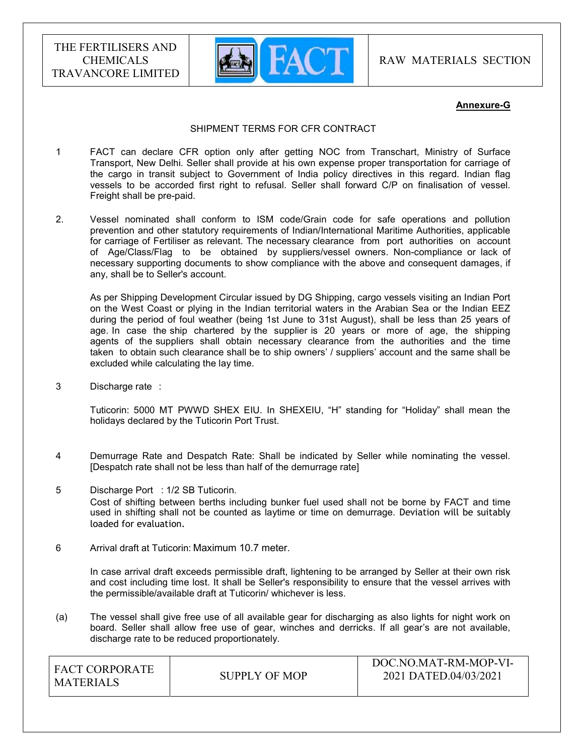

RAW MATERIALS SECTION

#### Annexure-G

#### SHIPMENT TERMS FOR CFR CONTRACT

- 1 FACT can declare CFR option only after getting NOC from Transchart, Ministry of Surface Transport, New Delhi. Seller shall provide at his own expense proper transportation for carriage of the cargo in transit subject to Government of India policy directives in this regard. Indian flag vessels to be accorded first right to refusal. Seller shall forward C/P on finalisation of vessel. Freight shall be pre-paid.
- 2. Vessel nominated shall conform to ISM code/Grain code for safe operations and pollution prevention and other statutory requirements of Indian/International Maritime Authorities, applicable for carriage of Fertiliser as relevant. The necessary clearance from port authorities on account of Age/Class/Flag to be obtained by suppliers/vessel owners. Non-compliance or lack of necessary supporting documents to show compliance with the above and consequent damages, if any, shall be to Seller's account.

 As per Shipping Development Circular issued by DG Shipping, cargo vessels visiting an Indian Port on the West Coast or plying in the Indian territorial waters in the Arabian Sea or the Indian EEZ during the period of foul weather (being 1st June to 31st August), shall be less than 25 years of age. In case the ship chartered by the supplier is 20 years or more of age, the shipping agents of the suppliers shall obtain necessary clearance from the authorities and the time taken to obtain such clearance shall be to ship owners' / suppliers' account and the same shall be excluded while calculating the lay time.

3 Discharge rate :

 Tuticorin: 5000 MT PWWD SHEX EIU. In SHEXEIU, "H" standing for "Holiday" shall mean the holidays declared by the Tuticorin Port Trust.

- 4 Demurrage Rate and Despatch Rate: Shall be indicated by Seller while nominating the vessel. [Despatch rate shall not be less than half of the demurrage rate]
- 5 Discharge Port : 1/2 SB Tuticorin. Cost of shifting between berths including bunker fuel used shall not be borne by FACT and time used in shifting shall not be counted as laytime or time on demurrage. Deviation will be suitably loaded for evaluation.
- 6 Arrival draft at Tuticorin: Maximum 10.7 meter.

 In case arrival draft exceeds permissible draft, lightening to be arranged by Seller at their own risk and cost including time lost. It shall be Seller's responsibility to ensure that the vessel arrives with the permissible/available draft at Tuticorin/ whichever is less.

(a) The vessel shall give free use of all available gear for discharging as also lights for night work on board. Seller shall allow free use of gear, winches and derricks. If all gear's are not available, discharge rate to be reduced proportionately.

| I FACT CORPORATE<br>MATERIALS | SUPPLY OF MOP | DOC.NO.MAT-RM-MOP-VI-<br>2021 DATED.04/03/2021 |
|-------------------------------|---------------|------------------------------------------------|
|                               |               |                                                |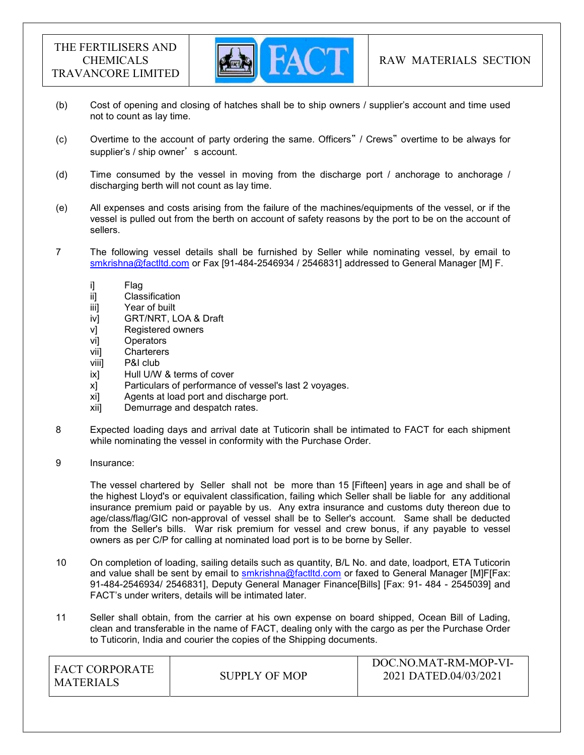

- (b) Cost of opening and closing of hatches shall be to ship owners / supplier's account and time used not to count as lay time.
- (c) Overtime to the account of party ordering the same. Officers" / Crews" overtime to be always for supplier's / ship owner's account.
- (d) Time consumed by the vessel in moving from the discharge port / anchorage to anchorage / discharging berth will not count as lay time.
- (e) All expenses and costs arising from the failure of the machines/equipments of the vessel, or if the vessel is pulled out from the berth on account of safety reasons by the port to be on the account of sellers.
- 7 The following vessel details shall be furnished by Seller while nominating vessel, by email to smkrishna@factltd.com or Fax [91-484-2546934 / 2546831] addressed to General Manager [M] F.
	-
	- i] Flag<br>ii] Clas Classification
	- iii] Year of built
	- iv] GRT/NRT, LOA & Draft
	- v] Registered owners
	- vi] Operators
	- vii] Charterers
	- viii] P&I club
	- ix] Hull U/W & terms of cover
	- x] Particulars of performance of vessel's last 2 voyages.
	- xi] Agents at load port and discharge port.
	- xii] Demurrage and despatch rates.
- 8 Expected loading days and arrival date at Tuticorin shall be intimated to FACT for each shipment while nominating the vessel in conformity with the Purchase Order.
- 9 Insurance:

 The vessel chartered by Seller shall not be more than 15 [Fifteen] years in age and shall be of the highest Lloyd's or equivalent classification, failing which Seller shall be liable for any additional insurance premium paid or payable by us. Any extra insurance and customs duty thereon due to age/class/flag/GIC non-approval of vessel shall be to Seller's account. Same shall be deducted from the Seller's bills. War risk premium for vessel and crew bonus, if any payable to vessel owners as per C/P for calling at nominated load port is to be borne by Seller.

- 10 On completion of loading, sailing details such as quantity, B/L No. and date, loadport, ETA Tuticorin and value shall be sent by email to smkrishna@factltd.com or faxed to General Manager [M]F[Fax: 91-484-2546934/ 2546831], Deputy General Manager Finance[Bills] [Fax: 91- 484 - 2545039] and FACT's under writers, details will be intimated later.
- 11 Seller shall obtain, from the carrier at his own expense on board shipped, Ocean Bill of Lading, clean and transferable in the name of FACT, dealing only with the cargo as per the Purchase Order to Tuticorin, India and courier the copies of the Shipping documents.

| <b>FACT CORPORATE</b><br><b>MATERIALS</b> | SUPPLY OF MOP | DOC.NO.MAT-RM-MOP-VI-<br>2021 DATED.04/03/2021 |
|-------------------------------------------|---------------|------------------------------------------------|
|-------------------------------------------|---------------|------------------------------------------------|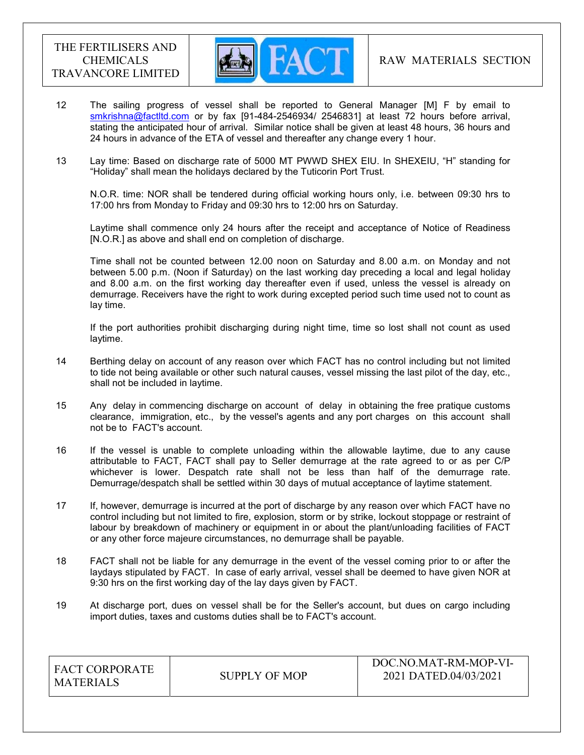

- 12 The sailing progress of vessel shall be reported to General Manager [M] F by email to smkrishna@factltd.com or by fax [91-484-2546934/ 2546831] at least 72 hours before arrival, stating the anticipated hour of arrival. Similar notice shall be given at least 48 hours, 36 hours and 24 hours in advance of the ETA of vessel and thereafter any change every 1 hour.
- 13 Lay time: Based on discharge rate of 5000 MT PWWD SHEX EIU. In SHEXEIU, "H" standing for "Holiday" shall mean the holidays declared by the Tuticorin Port Trust.

 N.O.R. time: NOR shall be tendered during official working hours only, i.e. between 09:30 hrs to 17:00 hrs from Monday to Friday and 09:30 hrs to 12:00 hrs on Saturday.

 Laytime shall commence only 24 hours after the receipt and acceptance of Notice of Readiness [N.O.R.] as above and shall end on completion of discharge.

 Time shall not be counted between 12.00 noon on Saturday and 8.00 a.m. on Monday and not between 5.00 p.m. (Noon if Saturday) on the last working day preceding a local and legal holiday and 8.00 a.m. on the first working day thereafter even if used, unless the vessel is already on demurrage. Receivers have the right to work during excepted period such time used not to count as lay time.

 If the port authorities prohibit discharging during night time, time so lost shall not count as used laytime.

- 14 Berthing delay on account of any reason over which FACT has no control including but not limited to tide not being available or other such natural causes, vessel missing the last pilot of the day, etc., shall not be included in laytime.
- 15 Any delay in commencing discharge on account of delay in obtaining the free pratique customs clearance, immigration, etc., by the vessel's agents and any port charges on this account shall not be to FACT's account.
- 16 If the vessel is unable to complete unloading within the allowable laytime, due to any cause attributable to FACT, FACT shall pay to Seller demurrage at the rate agreed to or as per C/P whichever is lower. Despatch rate shall not be less than half of the demurrage rate. Demurrage/despatch shall be settled within 30 days of mutual acceptance of laytime statement.
- 17 If, however, demurrage is incurred at the port of discharge by any reason over which FACT have no control including but not limited to fire, explosion, storm or by strike, lockout stoppage or restraint of labour by breakdown of machinery or equipment in or about the plant/unloading facilities of FACT or any other force majeure circumstances, no demurrage shall be payable.
- 18 FACT shall not be liable for any demurrage in the event of the vessel coming prior to or after the laydays stipulated by FACT. In case of early arrival, vessel shall be deemed to have given NOR at 9:30 hrs on the first working day of the lay days given by FACT.
- 19 At discharge port, dues on vessel shall be for the Seller's account, but dues on cargo including import duties, taxes and customs duties shall be to FACT's account.

| <b>FACT CORPORATE</b><br><b>MATERIALS</b> | SUPPLY OF MOP | DOC.NO.MAT-RM-MOP-VI-<br>2021 DATED.04/03/2021 |
|-------------------------------------------|---------------|------------------------------------------------|
|-------------------------------------------|---------------|------------------------------------------------|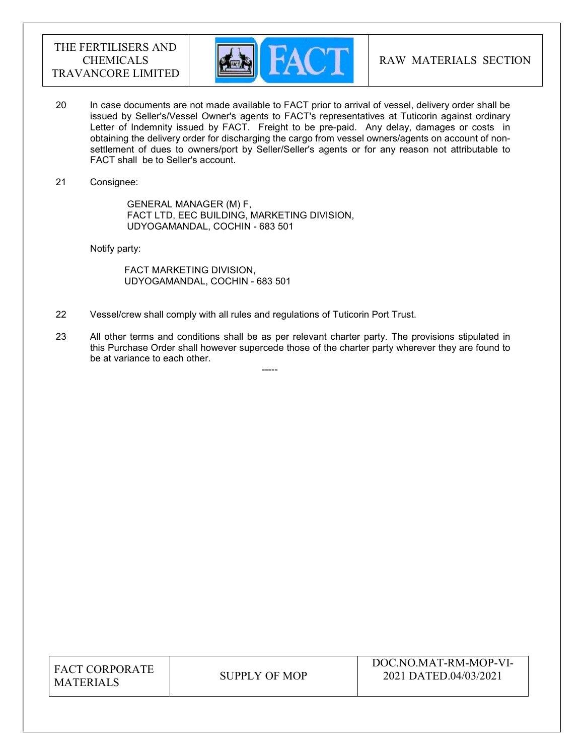

- 20 In case documents are not made available to FACT prior to arrival of vessel, delivery order shall be issued by Seller's/Vessel Owner's agents to FACT's representatives at Tuticorin against ordinary Letter of Indemnity issued by FACT. Freight to be pre-paid. Any delay, damages or costs in obtaining the delivery order for discharging the cargo from vessel owners/agents on account of nonsettlement of dues to owners/port by Seller/Seller's agents or for any reason not attributable to FACT shall be to Seller's account.
- 21 Consignee:

 GENERAL MANAGER (M) F, FACT LTD, EEC BUILDING, MARKETING DIVISION, UDYOGAMANDAL, COCHIN - 683 501

Notify party:

 FACT MARKETING DIVISION, UDYOGAMANDAL, COCHIN - 683 501

-----

- 22 Vessel/crew shall comply with all rules and regulations of Tuticorin Port Trust.
- 23 All other terms and conditions shall be as per relevant charter party. The provisions stipulated in this Purchase Order shall however supercede those of the charter party wherever they are found to be at variance to each other.

| <b>FACT CORPORATE</b> |
|-----------------------|
| <b>MATERIALS</b>      |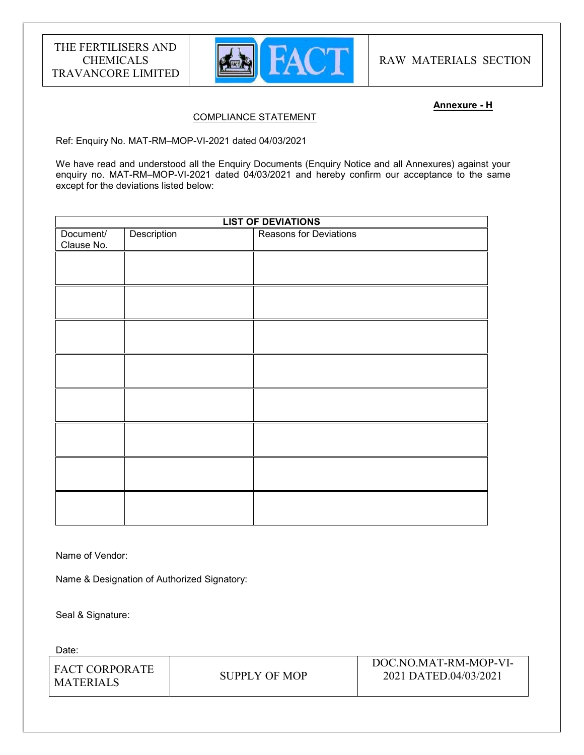

RAW MATERIALS SECTION

#### Annexure - H

# COMPLIANCE STATEMENT

Ref: Enquiry No. MAT-RM–MOP-VI-2021 dated 04/03/2021

We have read and understood all the Enquiry Documents (Enquiry Notice and all Annexures) against your enquiry no. MAT-RM-MOP-VI-2021 dated 04/03/2021 and hereby confirm our acceptance to the same except for the deviations listed below:

| <b>LIST OF DEVIATIONS</b> |             |                               |  |
|---------------------------|-------------|-------------------------------|--|
| Document/<br>Clause No.   | Description | <b>Reasons for Deviations</b> |  |
|                           |             |                               |  |
|                           |             |                               |  |
|                           |             |                               |  |
|                           |             |                               |  |
|                           |             |                               |  |
|                           |             |                               |  |
|                           |             |                               |  |
|                           |             |                               |  |
|                           |             |                               |  |

Name of Vendor:

Name & Designation of Authorized Signatory:

Seal & Signature:

Date:

| I FACT CORPORATE<br>I MATERIALS | SUPPLY OF MOP | DOC.NO.MAT-RM-MOP-VI-<br>2021 DATED.04/03/2021 |
|---------------------------------|---------------|------------------------------------------------|
|                                 |               |                                                |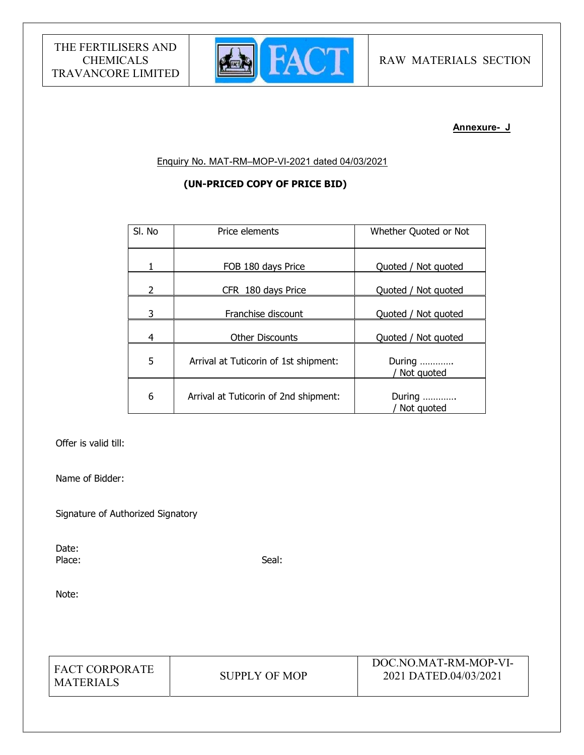

#### Annexure- J

Enquiry No. MAT-RM–MOP-VI-2021 dated 04/03/2021

# (UN-PRICED COPY OF PRICE BID)

| SI. No | Price elements                        | Whether Quoted or Not  |
|--------|---------------------------------------|------------------------|
|        | FOB 180 days Price                    | Quoted / Not quoted    |
| 2      | CFR 180 days Price                    | Quoted / Not quoted    |
| 3      | Franchise discount                    | Quoted / Not quoted    |
| 4      | <b>Other Discounts</b>                | Quoted / Not quoted    |
| 5      | Arrival at Tuticorin of 1st shipment: | During<br>Not quoted   |
| 6      | Arrival at Tuticorin of 2nd shipment: | During<br>/ Not quoted |

Offer is valid till:

Name of Bidder:

Signature of Authorized Signatory

Date: Place: Seal: Seal: Seal: Seal: Seal: Seal: Seal: Seal: Seal: Seal: Seal: Seal: Seal: Seal: Seal: Seal: Seal: Seal: Seal: Seal: Seal: Seal: Seal: Seal: Seal: Seal: Seal: Seal: Seal: Seal: Seal: Seal: Seal: Seal: Seal: Seal:

Note:

FACT CORPORATE MATERIALS SUPPLY OF MOP

DOC.NO.MAT-RM-MOP-VI-2021 DATED.04/03/2021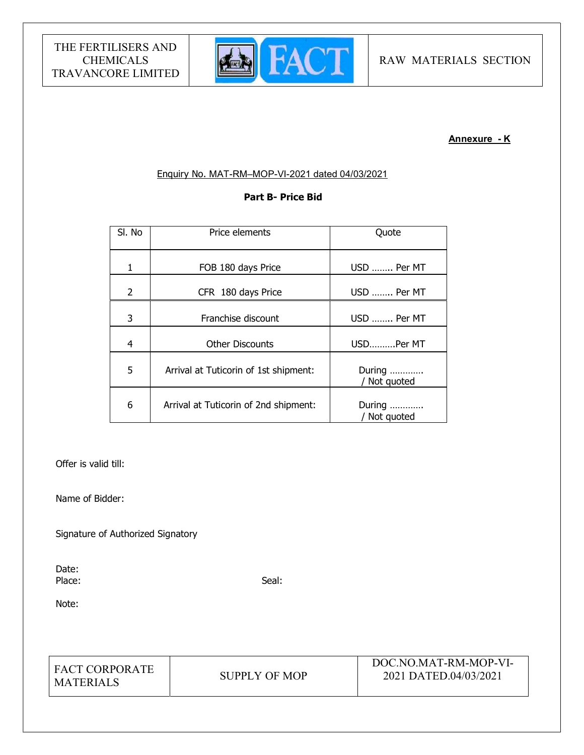

# Annexure - K

#### Enquiry No. MAT-RM–MOP-VI-2021 dated 04/03/2021

# Part B- Price Bid

| SI. No        | Price elements                        | Quote                  |  |
|---------------|---------------------------------------|------------------------|--|
| 1             | FOB 180 days Price                    | USD  Per MT            |  |
| $\mathcal{P}$ | CFR 180 days Price                    | USD  Per MT            |  |
| 3             | Franchise discount                    | USD  Per MT            |  |
| 4             | <b>Other Discounts</b>                | USDPer MT              |  |
| 5             | Arrival at Tuticorin of 1st shipment: | During<br>Not quoted   |  |
| 6             | Arrival at Tuticorin of 2nd shipment: | During<br>/ Not quoted |  |

Offer is valid till:

Name of Bidder:

Signature of Authorized Signatory

Date: Place: Seal: Seal: Seal: Seal: Seal: Seal: Seal: Seal: Seal: Seal: Seal: Seal: Seal: Seal: Seal: Seal: Seal: Seal: Seal: Seal: Seal: Seal: Seal: Seal: Seal: Seal: Seal: Seal: Seal: Seal: Seal: Seal: Seal: Seal: Seal: Seal:

Note:

FACT CORPORATE MATERIALS SUPPLY OF MOP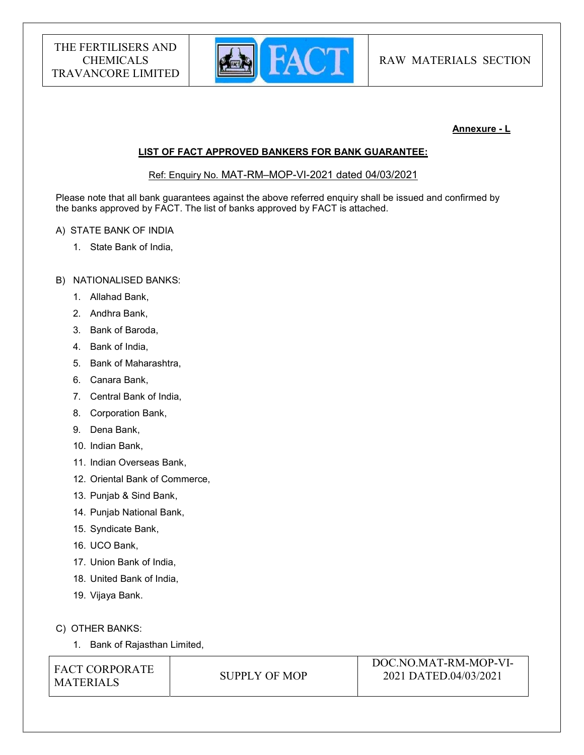

# Annexure - L

# LIST OF FACT APPROVED BANKERS FOR BANK GUARANTEE:

Ref: Enquiry No. MAT-RM–MOP-VI-2021 dated 04/03/2021

Please note that all bank guarantees against the above referred enquiry shall be issued and confirmed by the banks approved by FACT. The list of banks approved by FACT is attached.

#### A) STATE BANK OF INDIA

1. State Bank of India,

#### B) NATIONALISED BANKS:

- 1. Allahad Bank,
- 2. Andhra Bank,
- 3. Bank of Baroda,
- 4. Bank of India,
- 5. Bank of Maharashtra,
- 6. Canara Bank,
- 7. Central Bank of India,
- 8. Corporation Bank,
- 9. Dena Bank,
- 10. Indian Bank,
- 11. Indian Overseas Bank,
- 12. Oriental Bank of Commerce,
- 13. Punjab & Sind Bank,
- 14. Punjab National Bank,
- 15. Syndicate Bank,
- 16. UCO Bank,
- 17. Union Bank of India,
- 18. United Bank of India,
- 19. Vijaya Bank.

C) OTHER BANKS:

1. Bank of Rajasthan Limited,

| <b>FACT CORPORATE</b> |  |
|-----------------------|--|
| <b>MATERIALS</b>      |  |

SUPPLY OF MOP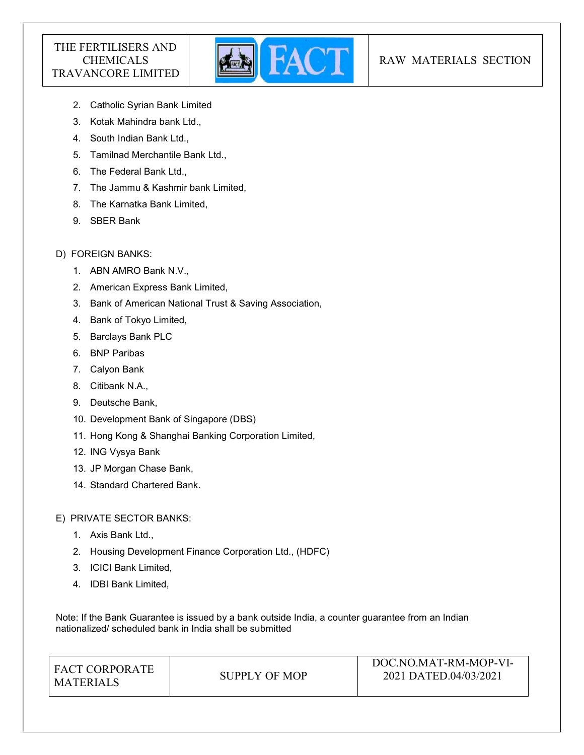

# RAW MATERIALS SECTION

- 2. Catholic Syrian Bank Limited
- 3. Kotak Mahindra bank Ltd.,
- 4. South Indian Bank Ltd.,
- 5. Tamilnad Merchantile Bank Ltd.,
- 6. The Federal Bank Ltd.,
- 7. The Jammu & Kashmir bank Limited,
- 8. The Karnatka Bank Limited,
- 9. SBER Bank

# D) FOREIGN BANKS:

- 1. ABN AMRO Bank N.V.,
- 2. American Express Bank Limited,
- 3. Bank of American National Trust & Saving Association,
- 4. Bank of Tokyo Limited,
- 5. Barclays Bank PLC
- 6. BNP Paribas
- 7. Calyon Bank
- 8. Citibank N.A.,
- 9. Deutsche Bank,
- 10. Development Bank of Singapore (DBS)
- 11. Hong Kong & Shanghai Banking Corporation Limited,
- 12. ING Vysya Bank
- 13. JP Morgan Chase Bank,
- 14. Standard Chartered Bank.

### E) PRIVATE SECTOR BANKS:

- 1. Axis Bank Ltd.,
- 2. Housing Development Finance Corporation Ltd., (HDFC)
- 3. ICICI Bank Limited,
- 4. IDBI Bank Limited,

Note: If the Bank Guarantee is issued by a bank outside India, a counter guarantee from an Indian nationalized/ scheduled bank in India shall be submitted

| I FACT CORPORATE |               | DOC.NO.MAT-RM-MOP-VI- |  |
|------------------|---------------|-----------------------|--|
| MATERIALS        | SUPPLY OF MOP | 2021 DATED.04/03/2021 |  |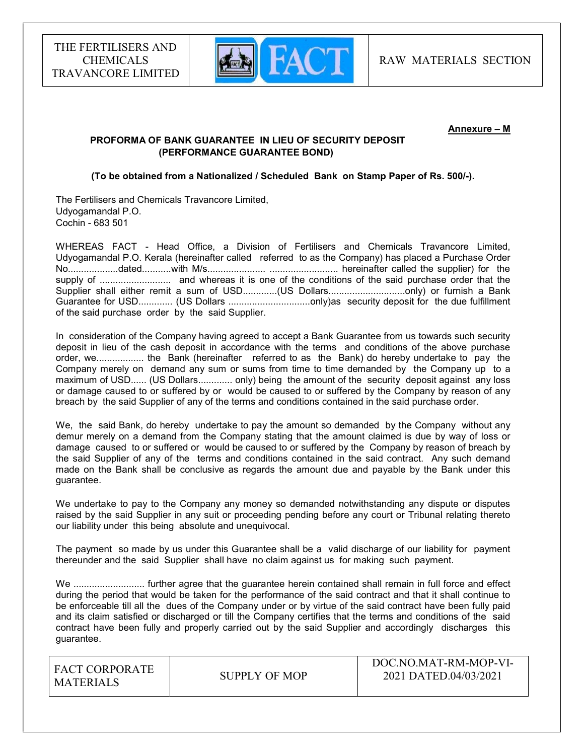

#### Annexure – M

# PROFORMA OF BANK GUARANTEE IN LIEU OF SECURITY DEPOSIT (PERFORMANCE GUARANTEE BOND)

# (To be obtained from a Nationalized / Scheduled Bank on Stamp Paper of Rs. 500/-).

The Fertilisers and Chemicals Travancore Limited, Udyogamandal P.O. Cochin - 683 501

WHEREAS FACT - Head Office, a Division of Fertilisers and Chemicals Travancore Limited, Udyogamandal P.O. Kerala (hereinafter called referred to as the Company) has placed a Purchase Order No...................dated...........with M/s...................... .......................... hereinafter called the supplier) for the supply of ........................... and whereas it is one of the conditions of the said purchase order that the Supplier shall either remit a sum of USD..............(US Dollars..................................only) or furnish a Bank Guarantee for USD............. (US Dollars ...............................only)as security deposit for the due fulfillment of the said purchase order by the said Supplier.

In consideration of the Company having agreed to accept a Bank Guarantee from us towards such security deposit in lieu of the cash deposit in accordance with the terms and conditions of the above purchase order, we.................. the Bank (hereinafter referred to as the Bank) do hereby undertake to pay the Company merely on demand any sum or sums from time to time demanded by the Company up to a maximum of USD...... (US Dollars............. only) being the amount of the security deposit against any loss or damage caused to or suffered by or would be caused to or suffered by the Company by reason of any breach by the said Supplier of any of the terms and conditions contained in the said purchase order.

We, the said Bank, do hereby undertake to pay the amount so demanded by the Company without any demur merely on a demand from the Company stating that the amount claimed is due by way of loss or damage caused to or suffered or would be caused to or suffered by the Company by reason of breach by the said Supplier of any of the terms and conditions contained in the said contract. Any such demand made on the Bank shall be conclusive as regards the amount due and payable by the Bank under this guarantee.

We undertake to pay to the Company any money so demanded notwithstanding any dispute or disputes raised by the said Supplier in any suit or proceeding pending before any court or Tribunal relating thereto our liability under this being absolute and unequivocal.

The payment so made by us under this Guarantee shall be a valid discharge of our liability for payment thereunder and the said Supplier shall have no claim against us for making such payment.

We ............................... further agree that the quarantee herein contained shall remain in full force and effect during the period that would be taken for the performance of the said contract and that it shall continue to be enforceable till all the dues of the Company under or by virtue of the said contract have been fully paid and its claim satisfied or discharged or till the Company certifies that the terms and conditions of the said contract have been fully and properly carried out by the said Supplier and accordingly discharges this guarantee.

| <b>FACT CORPORATE</b><br><b>MATERIALS</b> | SUPPLY OF MOP | DOC.NO.MAT-RM-MOP-VI-<br>2021 DATED.04/03/2021 |
|-------------------------------------------|---------------|------------------------------------------------|
|                                           |               |                                                |